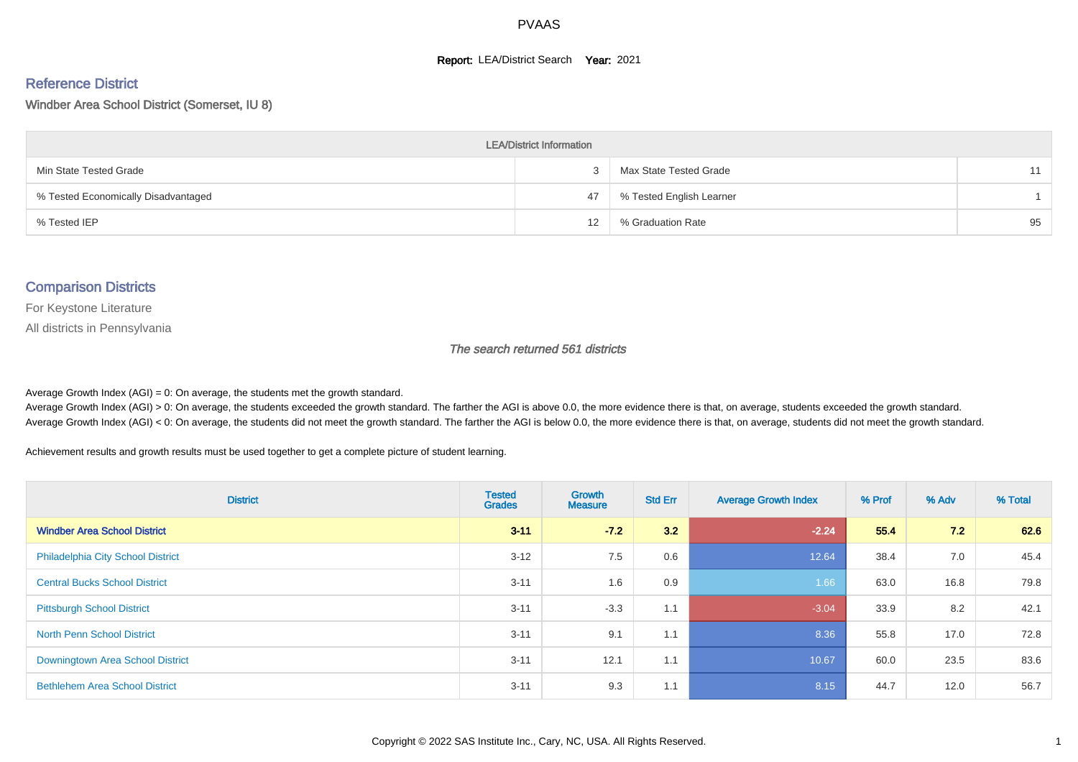#### **Report: LEA/District Search Year: 2021**

# Reference District

Windber Area School District (Somerset, IU 8)

| <b>LEA/District Information</b>     |    |                          |    |  |  |  |  |  |  |  |
|-------------------------------------|----|--------------------------|----|--|--|--|--|--|--|--|
| Min State Tested Grade              |    | Max State Tested Grade   | 11 |  |  |  |  |  |  |  |
| % Tested Economically Disadvantaged | 47 | % Tested English Learner |    |  |  |  |  |  |  |  |
| % Tested IEP                        | 12 | % Graduation Rate        | 95 |  |  |  |  |  |  |  |

#### Comparison Districts

For Keystone Literature

All districts in Pennsylvania

The search returned 561 districts

Average Growth Index  $(AGI) = 0$ : On average, the students met the growth standard.

Average Growth Index (AGI) > 0: On average, the students exceeded the growth standard. The farther the AGI is above 0.0, the more evidence there is that, on average, students exceeded the growth standard. Average Growth Index (AGI) < 0: On average, the students did not meet the growth standard. The farther the AGI is below 0.0, the more evidence there is that, on average, students did not meet the growth standard.

Achievement results and growth results must be used together to get a complete picture of student learning.

| <b>District</b>                          | <b>Tested</b><br><b>Grades</b> | <b>Growth</b><br><b>Measure</b> | <b>Std Err</b> | <b>Average Growth Index</b> | % Prof | % Adv | % Total |
|------------------------------------------|--------------------------------|---------------------------------|----------------|-----------------------------|--------|-------|---------|
| <b>Windber Area School District</b>      | $3 - 11$                       | $-72$                           | 3.2            | $-2.24$                     | 55.4   | 7.2   | 62.6    |
| <b>Philadelphia City School District</b> | $3 - 12$                       | 7.5                             | 0.6            | 12.64                       | 38.4   | 7.0   | 45.4    |
| <b>Central Bucks School District</b>     | $3 - 11$                       | 1.6                             | 0.9            | 1.66                        | 63.0   | 16.8  | 79.8    |
| <b>Pittsburgh School District</b>        | $3 - 11$                       | $-3.3$                          | 1.1            | $-3.04$                     | 33.9   | 8.2   | 42.1    |
| <b>North Penn School District</b>        | $3 - 11$                       | 9.1                             | 1.1            | 8.36                        | 55.8   | 17.0  | 72.8    |
| Downingtown Area School District         | $3 - 11$                       | 12.1                            | 1.1            | 10.67                       | 60.0   | 23.5  | 83.6    |
| <b>Bethlehem Area School District</b>    | $3 - 11$                       | 9.3                             | 1.1            | 8.15                        | 44.7   | 12.0  | 56.7    |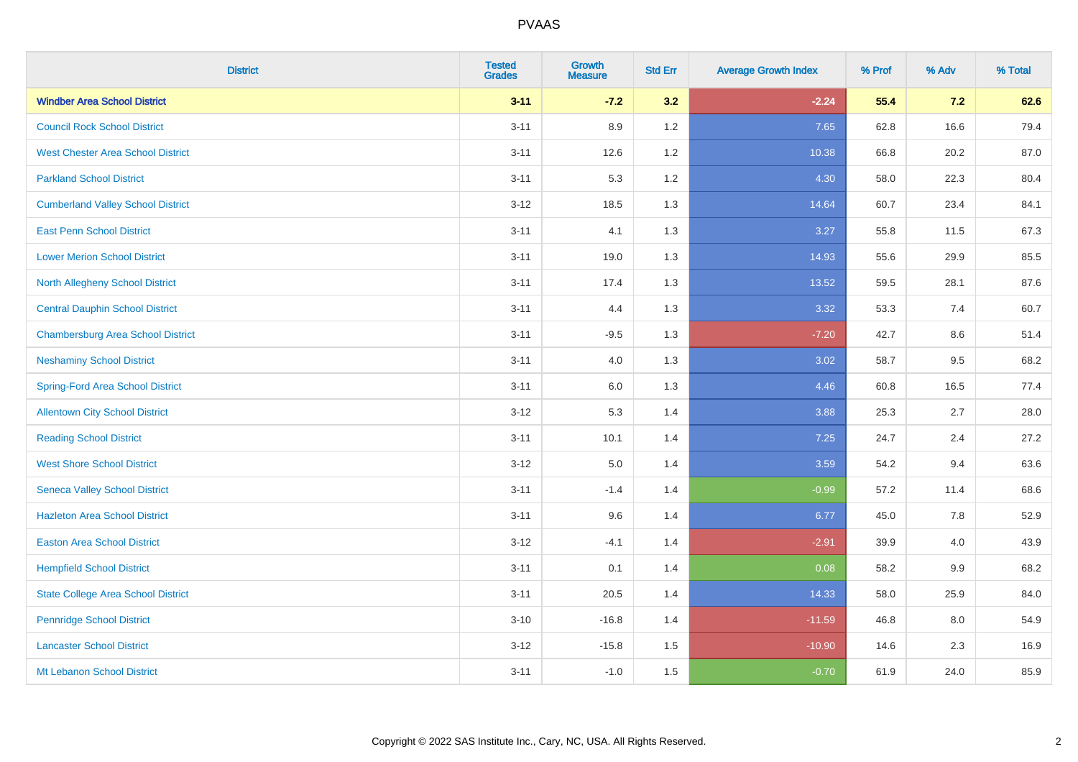| <b>District</b>                           | <b>Tested</b><br><b>Grades</b> | <b>Growth</b><br><b>Measure</b> | <b>Std Err</b> | <b>Average Growth Index</b> | % Prof | % Adv | % Total |
|-------------------------------------------|--------------------------------|---------------------------------|----------------|-----------------------------|--------|-------|---------|
| <b>Windber Area School District</b>       | $3 - 11$                       | $-7.2$                          | 3.2            | $-2.24$                     | 55.4   | 7.2   | 62.6    |
| <b>Council Rock School District</b>       | $3 - 11$                       | 8.9                             | 1.2            | 7.65                        | 62.8   | 16.6  | 79.4    |
| <b>West Chester Area School District</b>  | $3 - 11$                       | 12.6                            | 1.2            | 10.38                       | 66.8   | 20.2  | 87.0    |
| <b>Parkland School District</b>           | $3 - 11$                       | 5.3                             | 1.2            | 4.30                        | 58.0   | 22.3  | 80.4    |
| <b>Cumberland Valley School District</b>  | $3 - 12$                       | 18.5                            | 1.3            | 14.64                       | 60.7   | 23.4  | 84.1    |
| <b>East Penn School District</b>          | $3 - 11$                       | 4.1                             | 1.3            | 3.27                        | 55.8   | 11.5  | 67.3    |
| <b>Lower Merion School District</b>       | $3 - 11$                       | 19.0                            | 1.3            | 14.93                       | 55.6   | 29.9  | 85.5    |
| <b>North Allegheny School District</b>    | $3 - 11$                       | 17.4                            | 1.3            | 13.52                       | 59.5   | 28.1  | 87.6    |
| <b>Central Dauphin School District</b>    | $3 - 11$                       | 4.4                             | 1.3            | 3.32                        | 53.3   | 7.4   | 60.7    |
| <b>Chambersburg Area School District</b>  | $3 - 11$                       | $-9.5$                          | 1.3            | $-7.20$                     | 42.7   | 8.6   | 51.4    |
| <b>Neshaminy School District</b>          | $3 - 11$                       | 4.0                             | 1.3            | 3.02                        | 58.7   | 9.5   | 68.2    |
| <b>Spring-Ford Area School District</b>   | $3 - 11$                       | $6.0\,$                         | 1.3            | 4.46                        | 60.8   | 16.5  | 77.4    |
| <b>Allentown City School District</b>     | $3 - 12$                       | 5.3                             | 1.4            | 3.88                        | 25.3   | 2.7   | 28.0    |
| <b>Reading School District</b>            | $3 - 11$                       | 10.1                            | 1.4            | 7.25                        | 24.7   | 2.4   | 27.2    |
| <b>West Shore School District</b>         | $3 - 12$                       | $5.0\,$                         | 1.4            | 3.59                        | 54.2   | 9.4   | 63.6    |
| <b>Seneca Valley School District</b>      | $3 - 11$                       | $-1.4$                          | 1.4            | $-0.99$                     | 57.2   | 11.4  | 68.6    |
| <b>Hazleton Area School District</b>      | $3 - 11$                       | 9.6                             | 1.4            | 6.77                        | 45.0   | 7.8   | 52.9    |
| <b>Easton Area School District</b>        | $3 - 12$                       | $-4.1$                          | 1.4            | $-2.91$                     | 39.9   | 4.0   | 43.9    |
| <b>Hempfield School District</b>          | $3 - 11$                       | 0.1                             | 1.4            | 0.08                        | 58.2   | 9.9   | 68.2    |
| <b>State College Area School District</b> | $3 - 11$                       | 20.5                            | 1.4            | 14.33                       | 58.0   | 25.9  | 84.0    |
| <b>Pennridge School District</b>          | $3 - 10$                       | $-16.8$                         | 1.4            | $-11.59$                    | 46.8   | 8.0   | 54.9    |
| <b>Lancaster School District</b>          | $3 - 12$                       | $-15.8$                         | 1.5            | $-10.90$                    | 14.6   | 2.3   | 16.9    |
| Mt Lebanon School District                | $3 - 11$                       | $-1.0$                          | 1.5            | $-0.70$                     | 61.9   | 24.0  | 85.9    |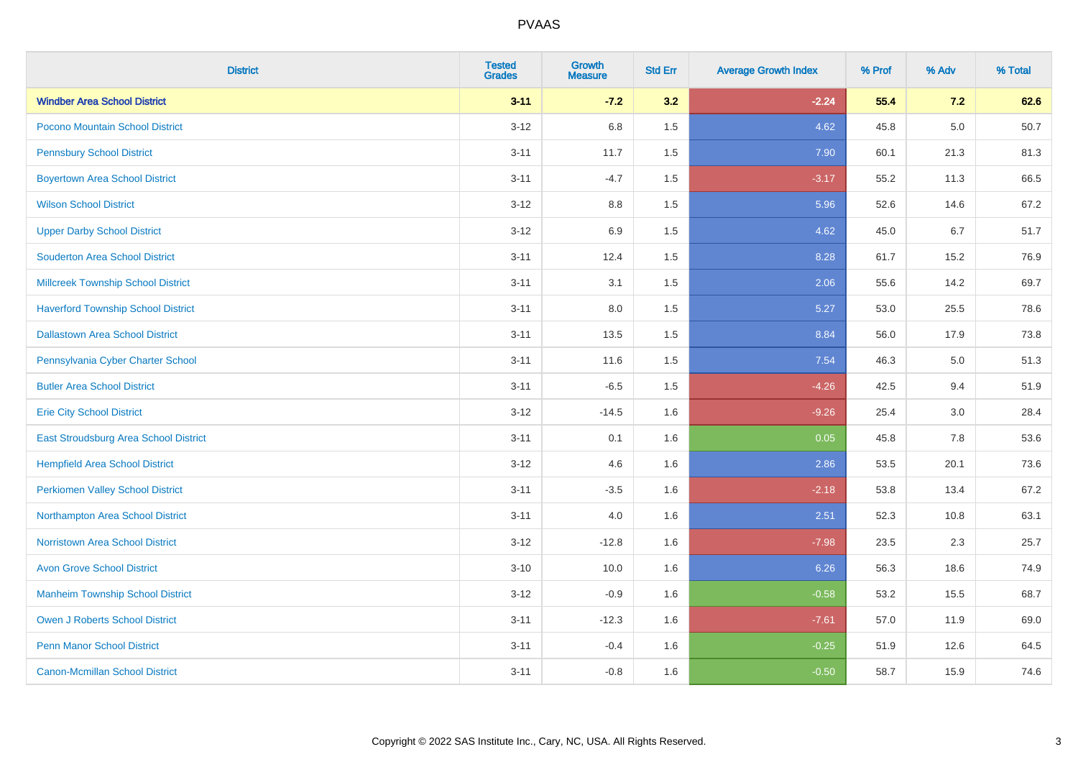| <b>District</b>                           | <b>Tested</b><br><b>Grades</b> | <b>Growth</b><br><b>Measure</b> | <b>Std Err</b> | <b>Average Growth Index</b> | % Prof | % Adv | % Total |
|-------------------------------------------|--------------------------------|---------------------------------|----------------|-----------------------------|--------|-------|---------|
| <b>Windber Area School District</b>       | $3 - 11$                       | $-7.2$                          | 3.2            | $-2.24$                     | 55.4   | 7.2   | 62.6    |
| Pocono Mountain School District           | $3 - 12$                       | 6.8                             | 1.5            | 4.62                        | 45.8   | 5.0   | 50.7    |
| <b>Pennsbury School District</b>          | $3 - 11$                       | 11.7                            | 1.5            | 7.90                        | 60.1   | 21.3  | 81.3    |
| <b>Boyertown Area School District</b>     | $3 - 11$                       | $-4.7$                          | 1.5            | $-3.17$                     | 55.2   | 11.3  | 66.5    |
| <b>Wilson School District</b>             | $3 - 12$                       | 8.8                             | 1.5            | 5.96                        | 52.6   | 14.6  | 67.2    |
| <b>Upper Darby School District</b>        | $3-12$                         | 6.9                             | 1.5            | 4.62                        | 45.0   | 6.7   | 51.7    |
| <b>Souderton Area School District</b>     | $3 - 11$                       | 12.4                            | 1.5            | 8.28                        | 61.7   | 15.2  | 76.9    |
| <b>Millcreek Township School District</b> | $3 - 11$                       | 3.1                             | 1.5            | 2.06                        | 55.6   | 14.2  | 69.7    |
| <b>Haverford Township School District</b> | $3 - 11$                       | 8.0                             | 1.5            | 5.27                        | 53.0   | 25.5  | 78.6    |
| <b>Dallastown Area School District</b>    | $3 - 11$                       | 13.5                            | 1.5            | 8.84                        | 56.0   | 17.9  | 73.8    |
| Pennsylvania Cyber Charter School         | $3 - 11$                       | 11.6                            | 1.5            | 7.54                        | 46.3   | 5.0   | 51.3    |
| <b>Butler Area School District</b>        | $3 - 11$                       | $-6.5$                          | 1.5            | $-4.26$                     | 42.5   | 9.4   | 51.9    |
| <b>Erie City School District</b>          | $3 - 12$                       | $-14.5$                         | 1.6            | $-9.26$                     | 25.4   | 3.0   | 28.4    |
| East Stroudsburg Area School District     | $3 - 11$                       | 0.1                             | 1.6            | 0.05                        | 45.8   | 7.8   | 53.6    |
| <b>Hempfield Area School District</b>     | $3-12$                         | 4.6                             | 1.6            | 2.86                        | 53.5   | 20.1  | 73.6    |
| <b>Perkiomen Valley School District</b>   | $3 - 11$                       | $-3.5$                          | 1.6            | $-2.18$                     | 53.8   | 13.4  | 67.2    |
| Northampton Area School District          | $3 - 11$                       | 4.0                             | 1.6            | 2.51                        | 52.3   | 10.8  | 63.1    |
| <b>Norristown Area School District</b>    | $3-12$                         | $-12.8$                         | 1.6            | $-7.98$                     | 23.5   | 2.3   | 25.7    |
| <b>Avon Grove School District</b>         | $3 - 10$                       | 10.0                            | 1.6            | 6.26                        | 56.3   | 18.6  | 74.9    |
| <b>Manheim Township School District</b>   | $3-12$                         | $-0.9$                          | 1.6            | $-0.58$                     | 53.2   | 15.5  | 68.7    |
| <b>Owen J Roberts School District</b>     | $3 - 11$                       | $-12.3$                         | 1.6            | $-7.61$                     | 57.0   | 11.9  | 69.0    |
| <b>Penn Manor School District</b>         | $3 - 11$                       | $-0.4$                          | 1.6            | $-0.25$                     | 51.9   | 12.6  | 64.5    |
| <b>Canon-Mcmillan School District</b>     | $3 - 11$                       | $-0.8$                          | 1.6            | $-0.50$                     | 58.7   | 15.9  | 74.6    |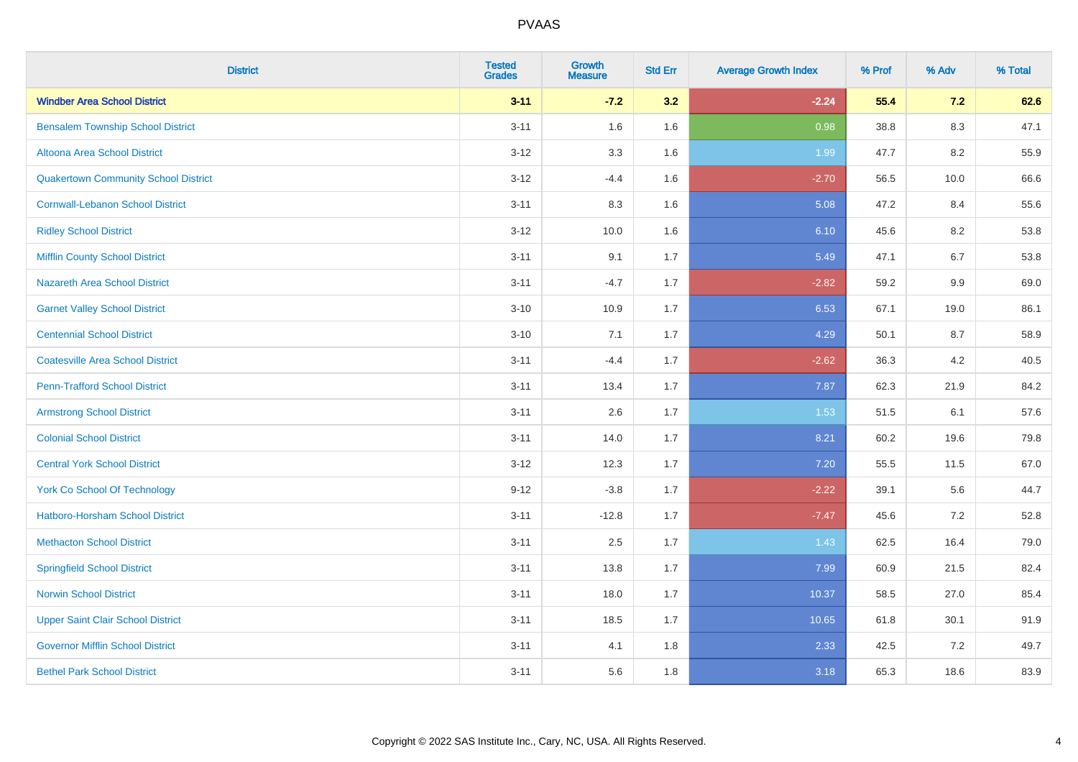| <b>District</b>                             | <b>Tested</b><br><b>Grades</b> | <b>Growth</b><br><b>Measure</b> | <b>Std Err</b> | <b>Average Growth Index</b> | % Prof | % Adv   | % Total |
|---------------------------------------------|--------------------------------|---------------------------------|----------------|-----------------------------|--------|---------|---------|
| <b>Windber Area School District</b>         | $3 - 11$                       | $-7.2$                          | 3.2            | $-2.24$                     | 55.4   | 7.2     | 62.6    |
| <b>Bensalem Township School District</b>    | $3 - 11$                       | 1.6                             | 1.6            | 0.98                        | 38.8   | $8.3\,$ | 47.1    |
| Altoona Area School District                | $3 - 12$                       | 3.3                             | 1.6            | 1.99                        | 47.7   | 8.2     | 55.9    |
| <b>Quakertown Community School District</b> | $3 - 12$                       | $-4.4$                          | 1.6            | $-2.70$                     | 56.5   | 10.0    | 66.6    |
| <b>Cornwall-Lebanon School District</b>     | $3 - 11$                       | 8.3                             | 1.6            | 5.08                        | 47.2   | 8.4     | 55.6    |
| <b>Ridley School District</b>               | $3 - 12$                       | 10.0                            | 1.6            | 6.10                        | 45.6   | 8.2     | 53.8    |
| <b>Mifflin County School District</b>       | $3 - 11$                       | 9.1                             | 1.7            | 5.49                        | 47.1   | 6.7     | 53.8    |
| <b>Nazareth Area School District</b>        | $3 - 11$                       | $-4.7$                          | 1.7            | $-2.82$                     | 59.2   | 9.9     | 69.0    |
| <b>Garnet Valley School District</b>        | $3 - 10$                       | 10.9                            | 1.7            | 6.53                        | 67.1   | 19.0    | 86.1    |
| <b>Centennial School District</b>           | $3 - 10$                       | 7.1                             | 1.7            | 4.29                        | 50.1   | 8.7     | 58.9    |
| <b>Coatesville Area School District</b>     | $3 - 11$                       | $-4.4$                          | 1.7            | $-2.62$                     | 36.3   | 4.2     | 40.5    |
| <b>Penn-Trafford School District</b>        | $3 - 11$                       | 13.4                            | 1.7            | 7.87                        | 62.3   | 21.9    | 84.2    |
| <b>Armstrong School District</b>            | $3 - 11$                       | 2.6                             | 1.7            | 1.53                        | 51.5   | 6.1     | 57.6    |
| <b>Colonial School District</b>             | $3 - 11$                       | 14.0                            | 1.7            | 8.21                        | 60.2   | 19.6    | 79.8    |
| <b>Central York School District</b>         | $3-12$                         | 12.3                            | 1.7            | $7.20$                      | 55.5   | 11.5    | 67.0    |
| <b>York Co School Of Technology</b>         | $9 - 12$                       | $-3.8$                          | 1.7            | $-2.22$                     | 39.1   | 5.6     | 44.7    |
| <b>Hatboro-Horsham School District</b>      | $3 - 11$                       | $-12.8$                         | 1.7            | $-7.47$                     | 45.6   | 7.2     | 52.8    |
| <b>Methacton School District</b>            | $3 - 11$                       | 2.5                             | 1.7            | 1.43                        | 62.5   | 16.4    | 79.0    |
| <b>Springfield School District</b>          | $3 - 11$                       | 13.8                            | 1.7            | 7.99                        | 60.9   | 21.5    | 82.4    |
| <b>Norwin School District</b>               | $3 - 11$                       | 18.0                            | 1.7            | 10.37                       | 58.5   | 27.0    | 85.4    |
| <b>Upper Saint Clair School District</b>    | $3 - 11$                       | 18.5                            | 1.7            | 10.65                       | 61.8   | 30.1    | 91.9    |
| <b>Governor Mifflin School District</b>     | $3 - 11$                       | 4.1                             | 1.8            | 2.33                        | 42.5   | $7.2\,$ | 49.7    |
| <b>Bethel Park School District</b>          | $3 - 11$                       | 5.6                             | 1.8            | 3.18                        | 65.3   | 18.6    | 83.9    |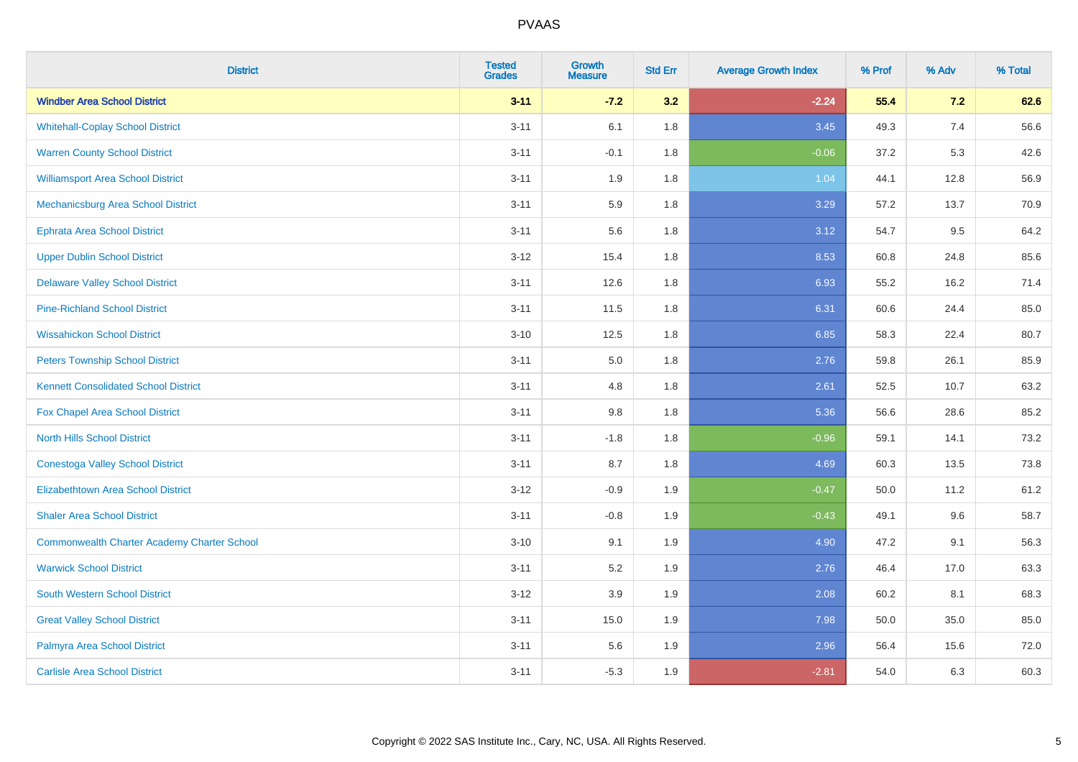| <b>District</b>                                    | <b>Tested</b><br><b>Grades</b> | <b>Growth</b><br><b>Measure</b> | <b>Std Err</b> | <b>Average Growth Index</b> | % Prof | % Adv | % Total |
|----------------------------------------------------|--------------------------------|---------------------------------|----------------|-----------------------------|--------|-------|---------|
| <b>Windber Area School District</b>                | $3 - 11$                       | $-7.2$                          | 3.2            | $-2.24$                     | 55.4   | 7.2   | 62.6    |
| <b>Whitehall-Coplay School District</b>            | $3 - 11$                       | 6.1                             | 1.8            | 3.45                        | 49.3   | 7.4   | 56.6    |
| <b>Warren County School District</b>               | $3 - 11$                       | $-0.1$                          | 1.8            | $-0.06$                     | 37.2   | 5.3   | 42.6    |
| <b>Williamsport Area School District</b>           | $3 - 11$                       | 1.9                             | 1.8            | 1.04                        | 44.1   | 12.8  | 56.9    |
| Mechanicsburg Area School District                 | $3 - 11$                       | 5.9                             | 1.8            | 3.29                        | 57.2   | 13.7  | 70.9    |
| <b>Ephrata Area School District</b>                | $3 - 11$                       | 5.6                             | 1.8            | 3.12                        | 54.7   | 9.5   | 64.2    |
| <b>Upper Dublin School District</b>                | $3-12$                         | 15.4                            | 1.8            | 8.53                        | 60.8   | 24.8  | 85.6    |
| <b>Delaware Valley School District</b>             | $3 - 11$                       | 12.6                            | 1.8            | 6.93                        | 55.2   | 16.2  | 71.4    |
| <b>Pine-Richland School District</b>               | $3 - 11$                       | 11.5                            | 1.8            | 6.31                        | 60.6   | 24.4  | 85.0    |
| <b>Wissahickon School District</b>                 | $3 - 10$                       | 12.5                            | 1.8            | 6.85                        | 58.3   | 22.4  | 80.7    |
| <b>Peters Township School District</b>             | $3 - 11$                       | 5.0                             | 1.8            | 2.76                        | 59.8   | 26.1  | 85.9    |
| <b>Kennett Consolidated School District</b>        | $3 - 11$                       | 4.8                             | 1.8            | 2.61                        | 52.5   | 10.7  | 63.2    |
| Fox Chapel Area School District                    | $3 - 11$                       | 9.8                             | 1.8            | 5.36                        | 56.6   | 28.6  | 85.2    |
| <b>North Hills School District</b>                 | $3 - 11$                       | $-1.8$                          | 1.8            | $-0.96$                     | 59.1   | 14.1  | 73.2    |
| <b>Conestoga Valley School District</b>            | $3 - 11$                       | 8.7                             | 1.8            | 4.69                        | 60.3   | 13.5  | 73.8    |
| <b>Elizabethtown Area School District</b>          | $3 - 12$                       | $-0.9$                          | 1.9            | $-0.47$                     | 50.0   | 11.2  | 61.2    |
| <b>Shaler Area School District</b>                 | $3 - 11$                       | $-0.8$                          | 1.9            | $-0.43$                     | 49.1   | 9.6   | 58.7    |
| <b>Commonwealth Charter Academy Charter School</b> | $3 - 10$                       | 9.1                             | 1.9            | 4.90                        | 47.2   | 9.1   | 56.3    |
| <b>Warwick School District</b>                     | $3 - 11$                       | 5.2                             | 1.9            | 2.76                        | 46.4   | 17.0  | 63.3    |
| <b>South Western School District</b>               | $3-12$                         | 3.9                             | 1.9            | 2.08                        | 60.2   | 8.1   | 68.3    |
| <b>Great Valley School District</b>                | $3 - 11$                       | 15.0                            | 1.9            | 7.98                        | 50.0   | 35.0  | 85.0    |
| Palmyra Area School District                       | $3 - 11$                       | 5.6                             | 1.9            | 2.96                        | 56.4   | 15.6  | 72.0    |
| <b>Carlisle Area School District</b>               | $3 - 11$                       | $-5.3$                          | 1.9            | $-2.81$                     | 54.0   | 6.3   | 60.3    |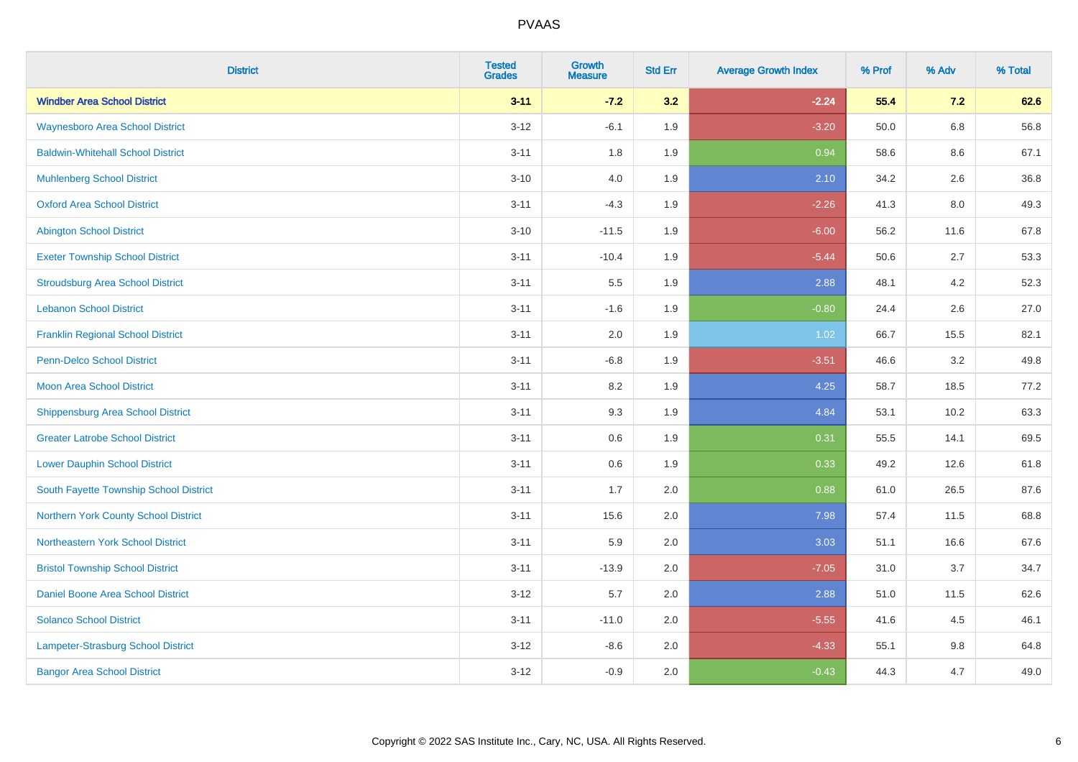| <b>District</b>                          | <b>Tested</b><br><b>Grades</b> | Growth<br><b>Measure</b> | <b>Std Err</b> | <b>Average Growth Index</b> | % Prof | % Adv   | % Total |
|------------------------------------------|--------------------------------|--------------------------|----------------|-----------------------------|--------|---------|---------|
| <b>Windber Area School District</b>      | $3 - 11$                       | $-7.2$                   | 3.2            | $-2.24$                     | 55.4   | 7.2     | 62.6    |
| <b>Waynesboro Area School District</b>   | $3 - 12$                       | $-6.1$                   | 1.9            | $-3.20$                     | 50.0   | $6.8\,$ | 56.8    |
| <b>Baldwin-Whitehall School District</b> | $3 - 11$                       | 1.8                      | 1.9            | 0.94                        | 58.6   | 8.6     | 67.1    |
| <b>Muhlenberg School District</b>        | $3 - 10$                       | $4.0\,$                  | 1.9            | 2.10                        | 34.2   | 2.6     | 36.8    |
| <b>Oxford Area School District</b>       | $3 - 11$                       | $-4.3$                   | 1.9            | $-2.26$                     | 41.3   | 8.0     | 49.3    |
| <b>Abington School District</b>          | $3 - 10$                       | $-11.5$                  | 1.9            | $-6.00$                     | 56.2   | 11.6    | 67.8    |
| <b>Exeter Township School District</b>   | $3 - 11$                       | $-10.4$                  | 1.9            | $-5.44$                     | 50.6   | 2.7     | 53.3    |
| <b>Stroudsburg Area School District</b>  | $3 - 11$                       | $5.5\,$                  | 1.9            | 2.88                        | 48.1   | 4.2     | 52.3    |
| <b>Lebanon School District</b>           | $3 - 11$                       | $-1.6$                   | 1.9            | $-0.80$                     | 24.4   | 2.6     | 27.0    |
| <b>Franklin Regional School District</b> | $3 - 11$                       | 2.0                      | 1.9            | 1.02                        | 66.7   | 15.5    | 82.1    |
| <b>Penn-Delco School District</b>        | $3 - 11$                       | $-6.8$                   | 1.9            | $-3.51$                     | 46.6   | 3.2     | 49.8    |
| <b>Moon Area School District</b>         | $3 - 11$                       | 8.2                      | 1.9            | 4.25                        | 58.7   | 18.5    | 77.2    |
| <b>Shippensburg Area School District</b> | $3 - 11$                       | 9.3                      | 1.9            | 4.84                        | 53.1   | 10.2    | 63.3    |
| <b>Greater Latrobe School District</b>   | $3 - 11$                       | 0.6                      | 1.9            | 0.31                        | 55.5   | 14.1    | 69.5    |
| <b>Lower Dauphin School District</b>     | $3 - 11$                       | 0.6                      | 1.9            | 0.33                        | 49.2   | 12.6    | 61.8    |
| South Fayette Township School District   | $3 - 11$                       | 1.7                      | 2.0            | 0.88                        | 61.0   | 26.5    | 87.6    |
| Northern York County School District     | $3 - 11$                       | 15.6                     | 2.0            | 7.98                        | 57.4   | 11.5    | 68.8    |
| Northeastern York School District        | $3 - 11$                       | 5.9                      | 2.0            | 3.03                        | 51.1   | 16.6    | 67.6    |
| <b>Bristol Township School District</b>  | $3 - 11$                       | $-13.9$                  | 2.0            | $-7.05$                     | 31.0   | 3.7     | 34.7    |
| Daniel Boone Area School District        | $3 - 12$                       | 5.7                      | 2.0            | 2.88                        | 51.0   | 11.5    | 62.6    |
| <b>Solanco School District</b>           | $3 - 11$                       | $-11.0$                  | 2.0            | $-5.55$                     | 41.6   | 4.5     | 46.1    |
| Lampeter-Strasburg School District       | $3 - 12$                       | $-8.6$                   | 2.0            | $-4.33$                     | 55.1   | $9.8\,$ | 64.8    |
| <b>Bangor Area School District</b>       | $3 - 12$                       | $-0.9$                   | 2.0            | $-0.43$                     | 44.3   | 4.7     | 49.0    |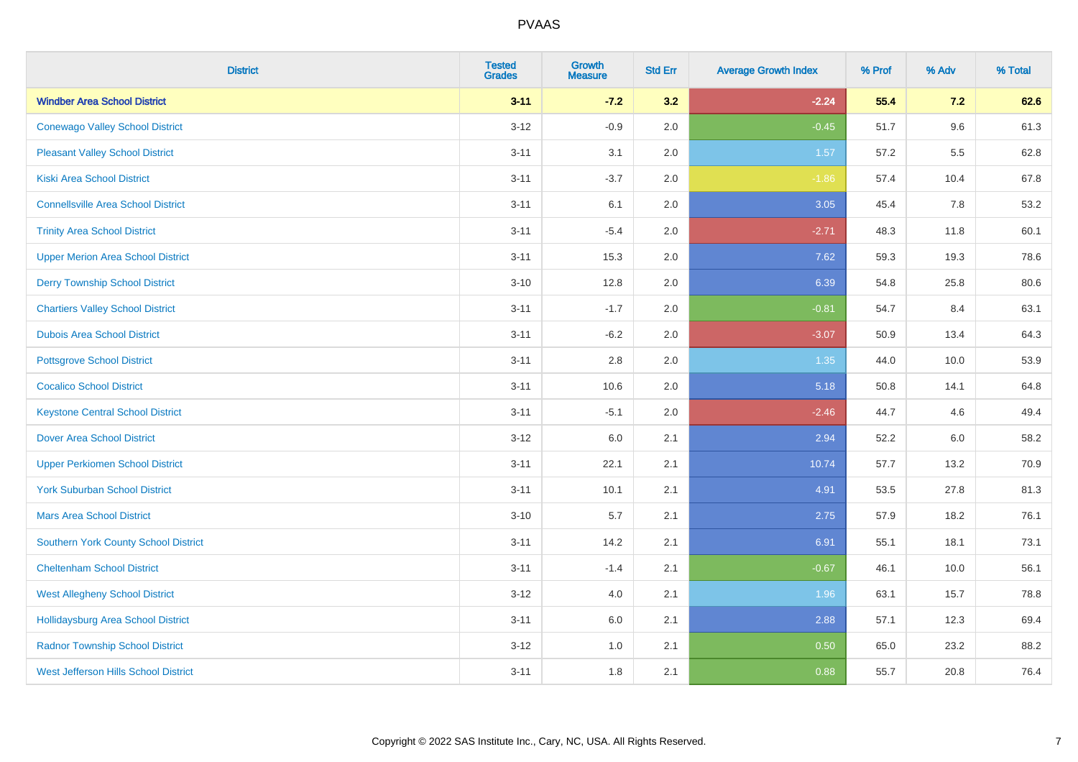| <b>District</b>                             | <b>Tested</b><br><b>Grades</b> | Growth<br><b>Measure</b> | <b>Std Err</b> | <b>Average Growth Index</b> | % Prof | % Adv | % Total |
|---------------------------------------------|--------------------------------|--------------------------|----------------|-----------------------------|--------|-------|---------|
| <b>Windber Area School District</b>         | $3 - 11$                       | $-7.2$                   | 3.2            | $-2.24$                     | 55.4   | 7.2   | 62.6    |
| <b>Conewago Valley School District</b>      | $3 - 12$                       | $-0.9$                   | 2.0            | $-0.45$                     | 51.7   | 9.6   | 61.3    |
| <b>Pleasant Valley School District</b>      | $3 - 11$                       | 3.1                      | 2.0            | 1.57                        | 57.2   | 5.5   | 62.8    |
| <b>Kiski Area School District</b>           | $3 - 11$                       | $-3.7$                   | 2.0            | $-1.86$                     | 57.4   | 10.4  | 67.8    |
| <b>Connellsville Area School District</b>   | $3 - 11$                       | 6.1                      | 2.0            | 3.05                        | 45.4   | 7.8   | 53.2    |
| <b>Trinity Area School District</b>         | $3 - 11$                       | $-5.4$                   | 2.0            | $-2.71$                     | 48.3   | 11.8  | 60.1    |
| <b>Upper Merion Area School District</b>    | $3 - 11$                       | 15.3                     | 2.0            | 7.62                        | 59.3   | 19.3  | 78.6    |
| <b>Derry Township School District</b>       | $3 - 10$                       | 12.8                     | 2.0            | 6.39                        | 54.8   | 25.8  | 80.6    |
| <b>Chartiers Valley School District</b>     | $3 - 11$                       | $-1.7$                   | 2.0            | $-0.81$                     | 54.7   | 8.4   | 63.1    |
| <b>Dubois Area School District</b>          | $3 - 11$                       | $-6.2$                   | 2.0            | $-3.07$                     | 50.9   | 13.4  | 64.3    |
| <b>Pottsgrove School District</b>           | $3 - 11$                       | 2.8                      | 2.0            | 1.35                        | 44.0   | 10.0  | 53.9    |
| <b>Cocalico School District</b>             | $3 - 11$                       | 10.6                     | 2.0            | 5.18                        | 50.8   | 14.1  | 64.8    |
| <b>Keystone Central School District</b>     | $3 - 11$                       | $-5.1$                   | 2.0            | $-2.46$                     | 44.7   | 4.6   | 49.4    |
| <b>Dover Area School District</b>           | $3-12$                         | 6.0                      | 2.1            | 2.94                        | 52.2   | 6.0   | 58.2    |
| <b>Upper Perkiomen School District</b>      | $3 - 11$                       | 22.1                     | 2.1            | 10.74                       | 57.7   | 13.2  | 70.9    |
| <b>York Suburban School District</b>        | $3 - 11$                       | 10.1                     | 2.1            | 4.91                        | 53.5   | 27.8  | 81.3    |
| <b>Mars Area School District</b>            | $3 - 10$                       | 5.7                      | 2.1            | 2.75                        | 57.9   | 18.2  | 76.1    |
| Southern York County School District        | $3 - 11$                       | 14.2                     | 2.1            | 6.91                        | 55.1   | 18.1  | 73.1    |
| <b>Cheltenham School District</b>           | $3 - 11$                       | $-1.4$                   | 2.1            | $-0.67$                     | 46.1   | 10.0  | 56.1    |
| <b>West Allegheny School District</b>       | $3-12$                         | 4.0                      | 2.1            | 1.96                        | 63.1   | 15.7  | 78.8    |
| <b>Hollidaysburg Area School District</b>   | $3 - 11$                       | 6.0                      | 2.1            | 2.88                        | 57.1   | 12.3  | 69.4    |
| <b>Radnor Township School District</b>      | $3 - 12$                       | 1.0                      | 2.1            | 0.50                        | 65.0   | 23.2  | 88.2    |
| <b>West Jefferson Hills School District</b> | $3 - 11$                       | 1.8                      | 2.1            | 0.88                        | 55.7   | 20.8  | 76.4    |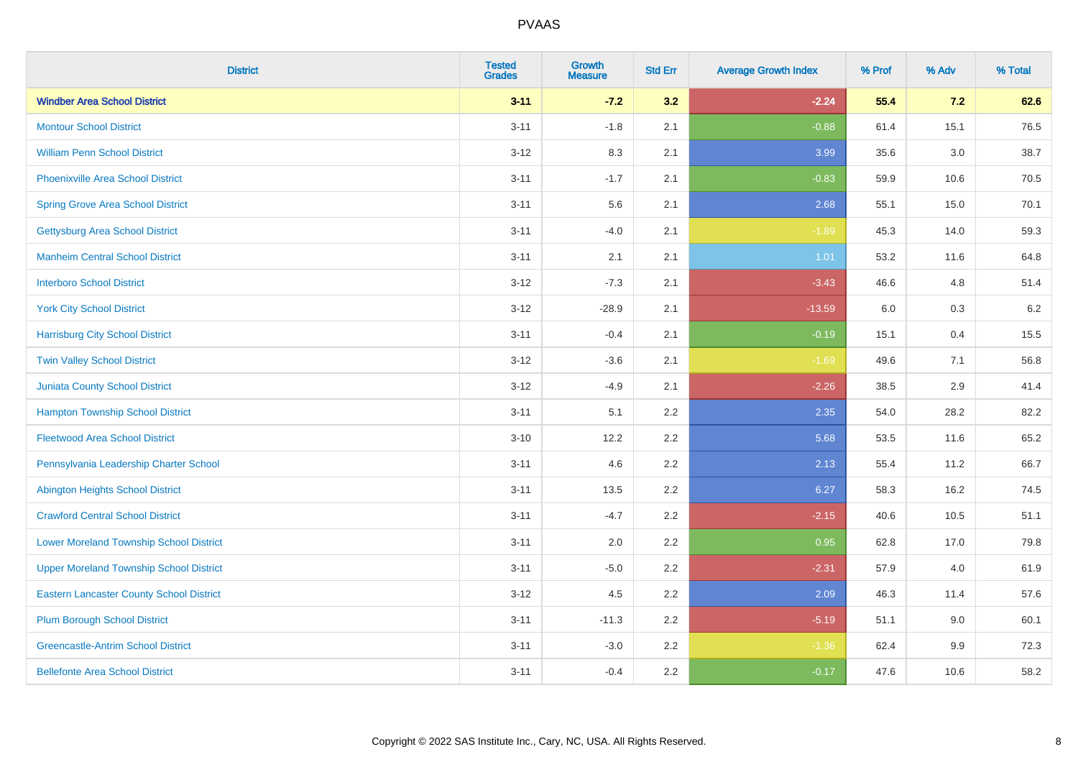| <b>District</b>                                 | <b>Tested</b><br><b>Grades</b> | <b>Growth</b><br><b>Measure</b> | <b>Std Err</b> | <b>Average Growth Index</b> | % Prof | % Adv   | % Total |
|-------------------------------------------------|--------------------------------|---------------------------------|----------------|-----------------------------|--------|---------|---------|
| <b>Windber Area School District</b>             | $3 - 11$                       | $-7.2$                          | 3.2            | $-2.24$                     | 55.4   | 7.2     | 62.6    |
| <b>Montour School District</b>                  | $3 - 11$                       | $-1.8$                          | 2.1            | $-0.88$                     | 61.4   | 15.1    | 76.5    |
| <b>William Penn School District</b>             | $3-12$                         | 8.3                             | 2.1            | 3.99                        | 35.6   | $3.0\,$ | 38.7    |
| Phoenixville Area School District               | $3 - 11$                       | $-1.7$                          | 2.1            | $-0.83$                     | 59.9   | 10.6    | 70.5    |
| <b>Spring Grove Area School District</b>        | $3 - 11$                       | 5.6                             | 2.1            | 2.68                        | 55.1   | 15.0    | 70.1    |
| <b>Gettysburg Area School District</b>          | $3 - 11$                       | $-4.0$                          | 2.1            | $-1.89$                     | 45.3   | 14.0    | 59.3    |
| <b>Manheim Central School District</b>          | $3 - 11$                       | 2.1                             | 2.1            | 1.01                        | 53.2   | 11.6    | 64.8    |
| <b>Interboro School District</b>                | $3 - 12$                       | $-7.3$                          | 2.1            | $-3.43$                     | 46.6   | 4.8     | 51.4    |
| <b>York City School District</b>                | $3-12$                         | $-28.9$                         | 2.1            | $-13.59$                    | 6.0    | $0.3\,$ | 6.2     |
| <b>Harrisburg City School District</b>          | $3 - 11$                       | $-0.4$                          | 2.1            | $-0.19$                     | 15.1   | 0.4     | 15.5    |
| <b>Twin Valley School District</b>              | $3-12$                         | $-3.6$                          | 2.1            | $-1.69$                     | 49.6   | 7.1     | 56.8    |
| Juniata County School District                  | $3-12$                         | $-4.9$                          | 2.1            | $-2.26$                     | 38.5   | 2.9     | 41.4    |
| <b>Hampton Township School District</b>         | $3 - 11$                       | 5.1                             | 2.2            | 2.35                        | 54.0   | 28.2    | 82.2    |
| <b>Fleetwood Area School District</b>           | $3 - 10$                       | 12.2                            | 2.2            | 5.68                        | 53.5   | 11.6    | 65.2    |
| Pennsylvania Leadership Charter School          | $3 - 11$                       | 4.6                             | 2.2            | 2.13                        | 55.4   | 11.2    | 66.7    |
| <b>Abington Heights School District</b>         | $3 - 11$                       | 13.5                            | 2.2            | 6.27                        | 58.3   | 16.2    | 74.5    |
| <b>Crawford Central School District</b>         | $3 - 11$                       | $-4.7$                          | 2.2            | $-2.15$                     | 40.6   | 10.5    | 51.1    |
| <b>Lower Moreland Township School District</b>  | $3 - 11$                       | 2.0                             | 2.2            | 0.95                        | 62.8   | 17.0    | 79.8    |
| <b>Upper Moreland Township School District</b>  | $3 - 11$                       | $-5.0$                          | 2.2            | $-2.31$                     | 57.9   | 4.0     | 61.9    |
| <b>Eastern Lancaster County School District</b> | $3-12$                         | 4.5                             | 2.2            | 2.09                        | 46.3   | 11.4    | 57.6    |
| <b>Plum Borough School District</b>             | $3 - 11$                       | $-11.3$                         | 2.2            | $-5.19$                     | 51.1   | 9.0     | 60.1    |
| <b>Greencastle-Antrim School District</b>       | $3 - 11$                       | $-3.0$                          | 2.2            | $-1.36$                     | 62.4   | 9.9     | 72.3    |
| <b>Bellefonte Area School District</b>          | $3 - 11$                       | $-0.4$                          | 2.2            | $-0.17$                     | 47.6   | 10.6    | 58.2    |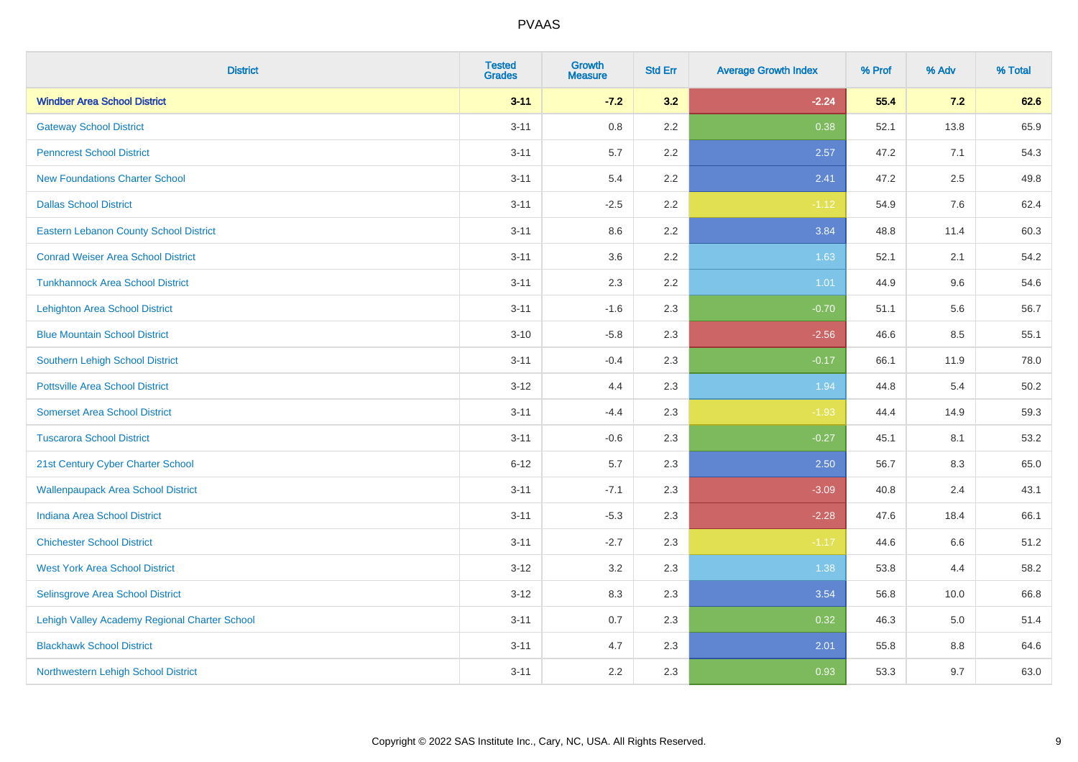| <b>District</b>                               | <b>Tested</b><br><b>Grades</b> | <b>Growth</b><br><b>Measure</b> | <b>Std Err</b> | <b>Average Growth Index</b> | % Prof | % Adv | % Total |
|-----------------------------------------------|--------------------------------|---------------------------------|----------------|-----------------------------|--------|-------|---------|
| <b>Windber Area School District</b>           | $3 - 11$                       | $-7.2$                          | 3.2            | $-2.24$                     | 55.4   | 7.2   | 62.6    |
| <b>Gateway School District</b>                | $3 - 11$                       | $0.8\,$                         | 2.2            | 0.38                        | 52.1   | 13.8  | 65.9    |
| <b>Penncrest School District</b>              | $3 - 11$                       | 5.7                             | 2.2            | 2.57                        | 47.2   | 7.1   | 54.3    |
| <b>New Foundations Charter School</b>         | $3 - 11$                       | 5.4                             | 2.2            | 2.41                        | 47.2   | 2.5   | 49.8    |
| <b>Dallas School District</b>                 | $3 - 11$                       | $-2.5$                          | 2.2            | $-1.12$                     | 54.9   | 7.6   | 62.4    |
| <b>Eastern Lebanon County School District</b> | $3 - 11$                       | 8.6                             | 2.2            | 3.84                        | 48.8   | 11.4  | 60.3    |
| <b>Conrad Weiser Area School District</b>     | $3 - 11$                       | 3.6                             | 2.2            | 1.63                        | 52.1   | 2.1   | 54.2    |
| <b>Tunkhannock Area School District</b>       | $3 - 11$                       | 2.3                             | 2.2            | 1.01                        | 44.9   | 9.6   | 54.6    |
| <b>Lehighton Area School District</b>         | $3 - 11$                       | $-1.6$                          | 2.3            | $-0.70$                     | 51.1   | 5.6   | 56.7    |
| <b>Blue Mountain School District</b>          | $3 - 10$                       | $-5.8$                          | 2.3            | $-2.56$                     | 46.6   | 8.5   | 55.1    |
| Southern Lehigh School District               | $3 - 11$                       | $-0.4$                          | 2.3            | $-0.17$                     | 66.1   | 11.9  | 78.0    |
| <b>Pottsville Area School District</b>        | $3 - 12$                       | 4.4                             | 2.3            | 1.94                        | 44.8   | 5.4   | 50.2    |
| <b>Somerset Area School District</b>          | $3 - 11$                       | $-4.4$                          | 2.3            | $-1.93$                     | 44.4   | 14.9  | 59.3    |
| <b>Tuscarora School District</b>              | $3 - 11$                       | $-0.6$                          | 2.3            | $-0.27$                     | 45.1   | 8.1   | 53.2    |
| 21st Century Cyber Charter School             | $6 - 12$                       | 5.7                             | 2.3            | 2.50                        | 56.7   | 8.3   | 65.0    |
| <b>Wallenpaupack Area School District</b>     | $3 - 11$                       | $-7.1$                          | 2.3            | $-3.09$                     | 40.8   | 2.4   | 43.1    |
| <b>Indiana Area School District</b>           | $3 - 11$                       | $-5.3$                          | 2.3            | $-2.28$                     | 47.6   | 18.4  | 66.1    |
| <b>Chichester School District</b>             | $3 - 11$                       | $-2.7$                          | 2.3            | $-1.17$                     | 44.6   | 6.6   | 51.2    |
| <b>West York Area School District</b>         | $3 - 12$                       | 3.2                             | 2.3            | 1.38                        | 53.8   | 4.4   | 58.2    |
| Selinsgrove Area School District              | $3 - 12$                       | 8.3                             | 2.3            | 3.54                        | 56.8   | 10.0  | 66.8    |
| Lehigh Valley Academy Regional Charter School | $3 - 11$                       | 0.7                             | 2.3            | 0.32                        | 46.3   | 5.0   | 51.4    |
| <b>Blackhawk School District</b>              | $3 - 11$                       | 4.7                             | 2.3            | 2.01                        | 55.8   | 8.8   | 64.6    |
| Northwestern Lehigh School District           | $3 - 11$                       | 2.2                             | 2.3            | 0.93                        | 53.3   | 9.7   | 63.0    |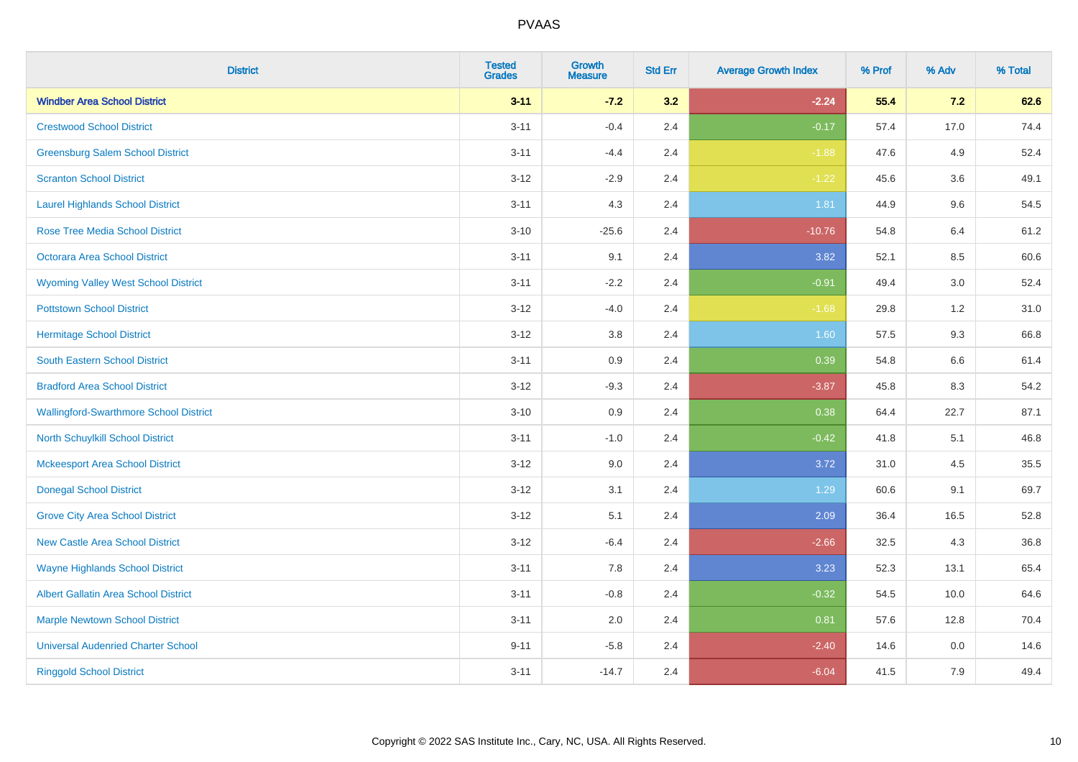| <b>District</b>                               | <b>Tested</b><br><b>Grades</b> | <b>Growth</b><br><b>Measure</b> | <b>Std Err</b> | <b>Average Growth Index</b> | % Prof | % Adv   | % Total |
|-----------------------------------------------|--------------------------------|---------------------------------|----------------|-----------------------------|--------|---------|---------|
| <b>Windber Area School District</b>           | $3 - 11$                       | $-7.2$                          | 3.2            | $-2.24$                     | 55.4   | 7.2     | 62.6    |
| <b>Crestwood School District</b>              | $3 - 11$                       | $-0.4$                          | 2.4            | $-0.17$                     | 57.4   | 17.0    | 74.4    |
| <b>Greensburg Salem School District</b>       | $3 - 11$                       | $-4.4$                          | 2.4            | $-1.88$                     | 47.6   | 4.9     | 52.4    |
| <b>Scranton School District</b>               | $3 - 12$                       | $-2.9$                          | 2.4            | $-1.22$                     | 45.6   | 3.6     | 49.1    |
| <b>Laurel Highlands School District</b>       | $3 - 11$                       | 4.3                             | 2.4            | 1.81                        | 44.9   | 9.6     | 54.5    |
| <b>Rose Tree Media School District</b>        | $3 - 10$                       | $-25.6$                         | 2.4            | $-10.76$                    | 54.8   | 6.4     | 61.2    |
| Octorara Area School District                 | $3 - 11$                       | 9.1                             | 2.4            | 3.82                        | 52.1   | 8.5     | 60.6    |
| <b>Wyoming Valley West School District</b>    | $3 - 11$                       | $-2.2$                          | 2.4            | $-0.91$                     | 49.4   | 3.0     | 52.4    |
| <b>Pottstown School District</b>              | $3 - 12$                       | $-4.0$                          | 2.4            | $-1.68$                     | 29.8   | $1.2$   | 31.0    |
| <b>Hermitage School District</b>              | $3 - 12$                       | 3.8                             | 2.4            | 1.60                        | 57.5   | 9.3     | 66.8    |
| <b>South Eastern School District</b>          | $3 - 11$                       | 0.9                             | 2.4            | 0.39                        | 54.8   | 6.6     | 61.4    |
| <b>Bradford Area School District</b>          | $3 - 12$                       | $-9.3$                          | 2.4            | $-3.87$                     | 45.8   | 8.3     | 54.2    |
| <b>Wallingford-Swarthmore School District</b> | $3 - 10$                       | $0.9\,$                         | 2.4            | 0.38                        | 64.4   | 22.7    | 87.1    |
| North Schuylkill School District              | $3 - 11$                       | $-1.0$                          | 2.4            | $-0.42$                     | 41.8   | 5.1     | 46.8    |
| <b>Mckeesport Area School District</b>        | $3 - 12$                       | 9.0                             | 2.4            | 3.72                        | 31.0   | 4.5     | 35.5    |
| <b>Donegal School District</b>                | $3 - 12$                       | 3.1                             | 2.4            | 1.29                        | 60.6   | 9.1     | 69.7    |
| <b>Grove City Area School District</b>        | $3 - 12$                       | 5.1                             | 2.4            | 2.09                        | 36.4   | 16.5    | 52.8    |
| <b>New Castle Area School District</b>        | $3 - 12$                       | $-6.4$                          | 2.4            | $-2.66$                     | 32.5   | 4.3     | 36.8    |
| <b>Wayne Highlands School District</b>        | $3 - 11$                       | 7.8                             | 2.4            | 3.23                        | 52.3   | 13.1    | 65.4    |
| <b>Albert Gallatin Area School District</b>   | $3 - 11$                       | $-0.8$                          | 2.4            | $-0.32$                     | 54.5   | 10.0    | 64.6    |
| <b>Marple Newtown School District</b>         | $3 - 11$                       | 2.0                             | 2.4            | 0.81                        | 57.6   | 12.8    | 70.4    |
| <b>Universal Audenried Charter School</b>     | $9 - 11$                       | $-5.8$                          | 2.4            | $-2.40$                     | 14.6   | $0.0\,$ | 14.6    |
| <b>Ringgold School District</b>               | $3 - 11$                       | $-14.7$                         | 2.4            | $-6.04$                     | 41.5   | 7.9     | 49.4    |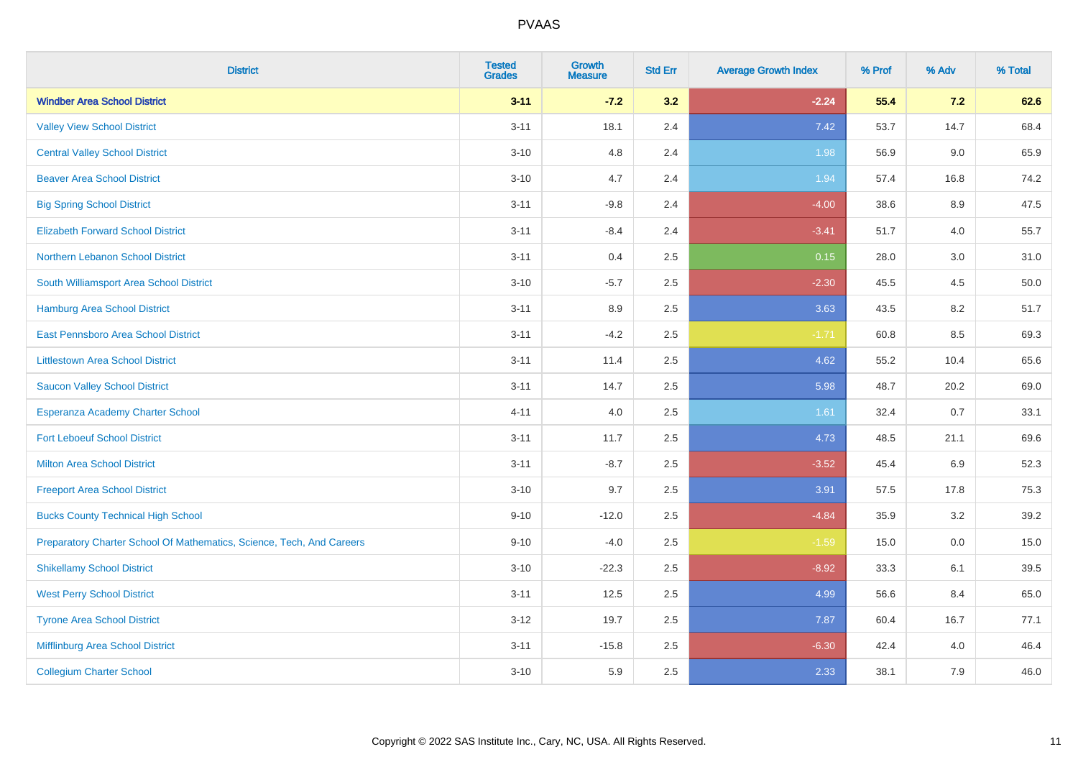| <b>District</b>                                                       | <b>Tested</b><br><b>Grades</b> | <b>Growth</b><br><b>Measure</b> | <b>Std Err</b> | <b>Average Growth Index</b> | % Prof | % Adv   | % Total |
|-----------------------------------------------------------------------|--------------------------------|---------------------------------|----------------|-----------------------------|--------|---------|---------|
| <b>Windber Area School District</b>                                   | $3 - 11$                       | $-7.2$                          | 3.2            | $-2.24$                     | 55.4   | 7.2     | 62.6    |
| <b>Valley View School District</b>                                    | $3 - 11$                       | 18.1                            | 2.4            | 7.42                        | 53.7   | 14.7    | 68.4    |
| <b>Central Valley School District</b>                                 | $3 - 10$                       | 4.8                             | 2.4            | 1.98                        | 56.9   | 9.0     | 65.9    |
| <b>Beaver Area School District</b>                                    | $3 - 10$                       | 4.7                             | 2.4            | 1.94                        | 57.4   | 16.8    | 74.2    |
| <b>Big Spring School District</b>                                     | $3 - 11$                       | $-9.8$                          | 2.4            | $-4.00$                     | 38.6   | 8.9     | 47.5    |
| <b>Elizabeth Forward School District</b>                              | $3 - 11$                       | $-8.4$                          | 2.4            | $-3.41$                     | 51.7   | 4.0     | 55.7    |
| Northern Lebanon School District                                      | $3 - 11$                       | 0.4                             | 2.5            | 0.15                        | 28.0   | 3.0     | 31.0    |
| South Williamsport Area School District                               | $3 - 10$                       | $-5.7$                          | 2.5            | $-2.30$                     | 45.5   | 4.5     | 50.0    |
| Hamburg Area School District                                          | $3 - 11$                       | 8.9                             | 2.5            | 3.63                        | 43.5   | 8.2     | 51.7    |
| East Pennsboro Area School District                                   | $3 - 11$                       | $-4.2$                          | 2.5            | $-1.71$                     | 60.8   | 8.5     | 69.3    |
| <b>Littlestown Area School District</b>                               | $3 - 11$                       | 11.4                            | 2.5            | 4.62                        | 55.2   | 10.4    | 65.6    |
| <b>Saucon Valley School District</b>                                  | $3 - 11$                       | 14.7                            | 2.5            | 5.98                        | 48.7   | 20.2    | 69.0    |
| Esperanza Academy Charter School                                      | $4 - 11$                       | 4.0                             | 2.5            | 1.61                        | 32.4   | 0.7     | 33.1    |
| <b>Fort Leboeuf School District</b>                                   | $3 - 11$                       | 11.7                            | 2.5            | 4.73                        | 48.5   | 21.1    | 69.6    |
| <b>Milton Area School District</b>                                    | $3 - 11$                       | $-8.7$                          | 2.5            | $-3.52$                     | 45.4   | 6.9     | 52.3    |
| <b>Freeport Area School District</b>                                  | $3 - 10$                       | 9.7                             | 2.5            | 3.91                        | 57.5   | 17.8    | 75.3    |
| <b>Bucks County Technical High School</b>                             | $9 - 10$                       | $-12.0$                         | 2.5            | $-4.84$                     | 35.9   | $3.2\,$ | 39.2    |
| Preparatory Charter School Of Mathematics, Science, Tech, And Careers | $9 - 10$                       | $-4.0$                          | 2.5            | $-1.59$                     | 15.0   | 0.0     | 15.0    |
| <b>Shikellamy School District</b>                                     | $3 - 10$                       | $-22.3$                         | 2.5            | $-8.92$                     | 33.3   | 6.1     | 39.5    |
| <b>West Perry School District</b>                                     | $3 - 11$                       | 12.5                            | 2.5            | 4.99                        | 56.6   | 8.4     | 65.0    |
| <b>Tyrone Area School District</b>                                    | $3 - 12$                       | 19.7                            | 2.5            | 7.87                        | 60.4   | 16.7    | 77.1    |
| Mifflinburg Area School District                                      | $3 - 11$                       | $-15.8$                         | 2.5            | $-6.30$                     | 42.4   | 4.0     | 46.4    |
| <b>Collegium Charter School</b>                                       | $3 - 10$                       | 5.9                             | 2.5            | 2.33                        | 38.1   | 7.9     | 46.0    |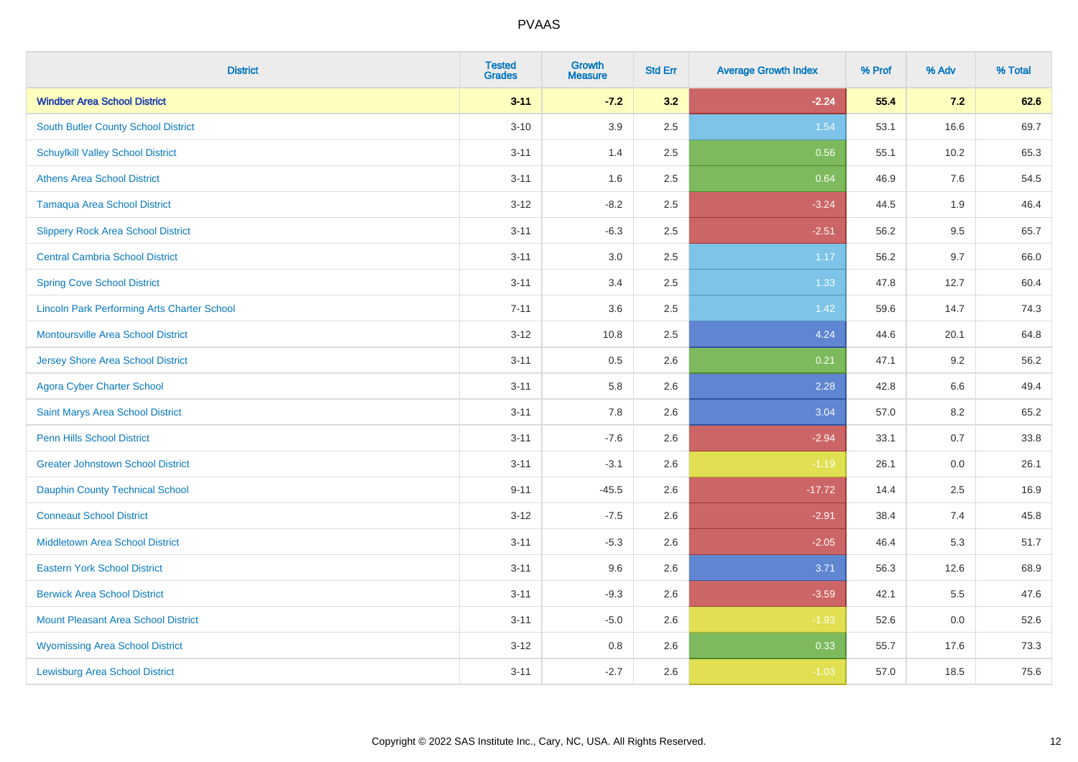| <b>District</b>                                    | <b>Tested</b><br><b>Grades</b> | <b>Growth</b><br><b>Measure</b> | <b>Std Err</b> | <b>Average Growth Index</b> | % Prof | % Adv   | % Total |
|----------------------------------------------------|--------------------------------|---------------------------------|----------------|-----------------------------|--------|---------|---------|
| <b>Windber Area School District</b>                | $3 - 11$                       | $-7.2$                          | 3.2            | $-2.24$                     | 55.4   | 7.2     | 62.6    |
| South Butler County School District                | $3 - 10$                       | 3.9                             | 2.5            | 1.54                        | 53.1   | 16.6    | 69.7    |
| <b>Schuylkill Valley School District</b>           | $3 - 11$                       | 1.4                             | 2.5            | 0.56                        | 55.1   | 10.2    | 65.3    |
| <b>Athens Area School District</b>                 | $3 - 11$                       | 1.6                             | 2.5            | 0.64                        | 46.9   | 7.6     | 54.5    |
| <b>Tamaqua Area School District</b>                | $3 - 12$                       | $-8.2$                          | 2.5            | $-3.24$                     | 44.5   | 1.9     | 46.4    |
| <b>Slippery Rock Area School District</b>          | $3 - 11$                       | $-6.3$                          | 2.5            | $-2.51$                     | 56.2   | 9.5     | 65.7    |
| <b>Central Cambria School District</b>             | $3 - 11$                       | 3.0                             | 2.5            | 1.17                        | 56.2   | 9.7     | 66.0    |
| <b>Spring Cove School District</b>                 | $3 - 11$                       | 3.4                             | 2.5            | 1.33                        | 47.8   | 12.7    | 60.4    |
| <b>Lincoln Park Performing Arts Charter School</b> | $7 - 11$                       | 3.6                             | 2.5            | 1.42                        | 59.6   | 14.7    | 74.3    |
| <b>Montoursville Area School District</b>          | $3 - 12$                       | 10.8                            | 2.5            | 4.24                        | 44.6   | 20.1    | 64.8    |
| <b>Jersey Shore Area School District</b>           | $3 - 11$                       | 0.5                             | 2.6            | 0.21                        | 47.1   | 9.2     | 56.2    |
| <b>Agora Cyber Charter School</b>                  | $3 - 11$                       | 5.8                             | 2.6            | 2.28                        | 42.8   | 6.6     | 49.4    |
| Saint Marys Area School District                   | $3 - 11$                       | 7.8                             | 2.6            | 3.04                        | 57.0   | $8.2\,$ | 65.2    |
| <b>Penn Hills School District</b>                  | $3 - 11$                       | $-7.6$                          | 2.6            | $-2.94$                     | 33.1   | 0.7     | 33.8    |
| <b>Greater Johnstown School District</b>           | $3 - 11$                       | $-3.1$                          | 2.6            | $-1.19$                     | 26.1   | 0.0     | 26.1    |
| <b>Dauphin County Technical School</b>             | $9 - 11$                       | $-45.5$                         | 2.6            | $-17.72$                    | 14.4   | 2.5     | 16.9    |
| <b>Conneaut School District</b>                    | $3 - 12$                       | $-7.5$                          | 2.6            | $-2.91$                     | 38.4   | 7.4     | 45.8    |
| <b>Middletown Area School District</b>             | $3 - 11$                       | $-5.3$                          | 2.6            | $-2.05$                     | 46.4   | 5.3     | 51.7    |
| <b>Eastern York School District</b>                | $3 - 11$                       | 9.6                             | 2.6            | 3.71                        | 56.3   | 12.6    | 68.9    |
| <b>Berwick Area School District</b>                | $3 - 11$                       | $-9.3$                          | 2.6            | $-3.59$                     | 42.1   | 5.5     | 47.6    |
| <b>Mount Pleasant Area School District</b>         | $3 - 11$                       | $-5.0$                          | 2.6            | $-1.93$                     | 52.6   | 0.0     | 52.6    |
| <b>Wyomissing Area School District</b>             | $3-12$                         | $0.8\,$                         | 2.6            | 0.33                        | 55.7   | 17.6    | 73.3    |
| <b>Lewisburg Area School District</b>              | $3 - 11$                       | $-2.7$                          | 2.6            | $-1.03$                     | 57.0   | 18.5    | 75.6    |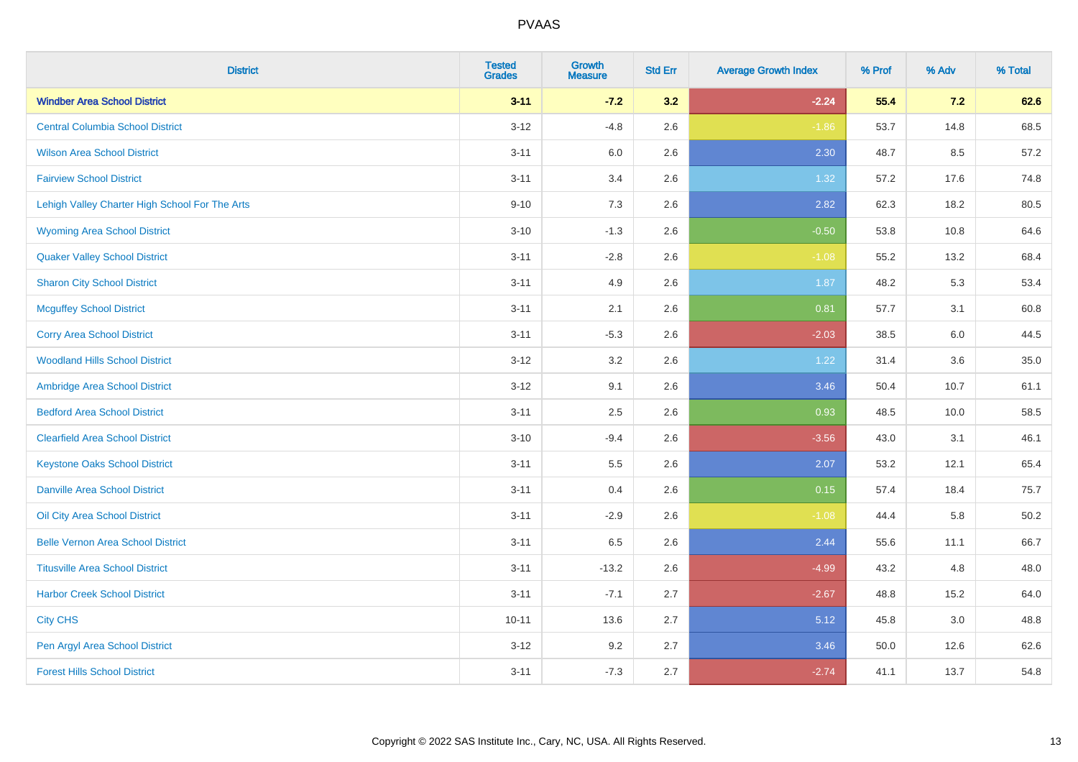| <b>District</b>                                | <b>Tested</b><br><b>Grades</b> | <b>Growth</b><br><b>Measure</b> | <b>Std Err</b> | <b>Average Growth Index</b> | % Prof | % Adv | % Total  |
|------------------------------------------------|--------------------------------|---------------------------------|----------------|-----------------------------|--------|-------|----------|
| <b>Windber Area School District</b>            | $3 - 11$                       | $-7.2$                          | 3.2            | $-2.24$                     | 55.4   | 7.2   | 62.6     |
| <b>Central Columbia School District</b>        | $3-12$                         | $-4.8$                          | 2.6            | $-1.86$                     | 53.7   | 14.8  | 68.5     |
| <b>Wilson Area School District</b>             | $3 - 11$                       | 6.0                             | 2.6            | 2.30                        | 48.7   | 8.5   | 57.2     |
| <b>Fairview School District</b>                | $3 - 11$                       | 3.4                             | 2.6            | 1.32                        | 57.2   | 17.6  | 74.8     |
| Lehigh Valley Charter High School For The Arts | $9 - 10$                       | 7.3                             | 2.6            | 2.82                        | 62.3   | 18.2  | 80.5     |
| <b>Wyoming Area School District</b>            | $3 - 10$                       | $-1.3$                          | 2.6            | $-0.50$                     | 53.8   | 10.8  | 64.6     |
| <b>Quaker Valley School District</b>           | $3 - 11$                       | $-2.8$                          | 2.6            | $-1.08$                     | 55.2   | 13.2  | 68.4     |
| <b>Sharon City School District</b>             | $3 - 11$                       | 4.9                             | 2.6            | 1.87                        | 48.2   | 5.3   | 53.4     |
| <b>Mcguffey School District</b>                | $3 - 11$                       | 2.1                             | 2.6            | 0.81                        | 57.7   | 3.1   | 60.8     |
| <b>Corry Area School District</b>              | $3 - 11$                       | $-5.3$                          | 2.6            | $-2.03$                     | 38.5   | 6.0   | 44.5     |
| <b>Woodland Hills School District</b>          | $3 - 12$                       | 3.2                             | 2.6            | 1.22                        | 31.4   | 3.6   | 35.0     |
| Ambridge Area School District                  | $3 - 12$                       | 9.1                             | 2.6            | 3.46                        | 50.4   | 10.7  | 61.1     |
| <b>Bedford Area School District</b>            | $3 - 11$                       | 2.5                             | 2.6            | 0.93                        | 48.5   | 10.0  | 58.5     |
| <b>Clearfield Area School District</b>         | $3 - 10$                       | $-9.4$                          | 2.6            | $-3.56$                     | 43.0   | 3.1   | 46.1     |
| <b>Keystone Oaks School District</b>           | $3 - 11$                       | $5.5\,$                         | 2.6            | 2.07                        | 53.2   | 12.1  | 65.4     |
| <b>Danville Area School District</b>           | $3 - 11$                       | 0.4                             | 2.6            | 0.15                        | 57.4   | 18.4  | 75.7     |
| Oil City Area School District                  | $3 - 11$                       | $-2.9$                          | 2.6            | $-1.08$                     | 44.4   | 5.8   | $50.2\,$ |
| <b>Belle Vernon Area School District</b>       | $3 - 11$                       | 6.5                             | 2.6            | 2.44                        | 55.6   | 11.1  | 66.7     |
| <b>Titusville Area School District</b>         | $3 - 11$                       | $-13.2$                         | 2.6            | $-4.99$                     | 43.2   | 4.8   | 48.0     |
| <b>Harbor Creek School District</b>            | $3 - 11$                       | $-7.1$                          | 2.7            | $-2.67$                     | 48.8   | 15.2  | 64.0     |
| <b>City CHS</b>                                | $10 - 11$                      | 13.6                            | 2.7            | 5.12                        | 45.8   | 3.0   | 48.8     |
| Pen Argyl Area School District                 | $3 - 12$                       | 9.2                             | 2.7            | 3.46                        | 50.0   | 12.6  | 62.6     |
| <b>Forest Hills School District</b>            | $3 - 11$                       | $-7.3$                          | 2.7            | $-2.74$                     | 41.1   | 13.7  | 54.8     |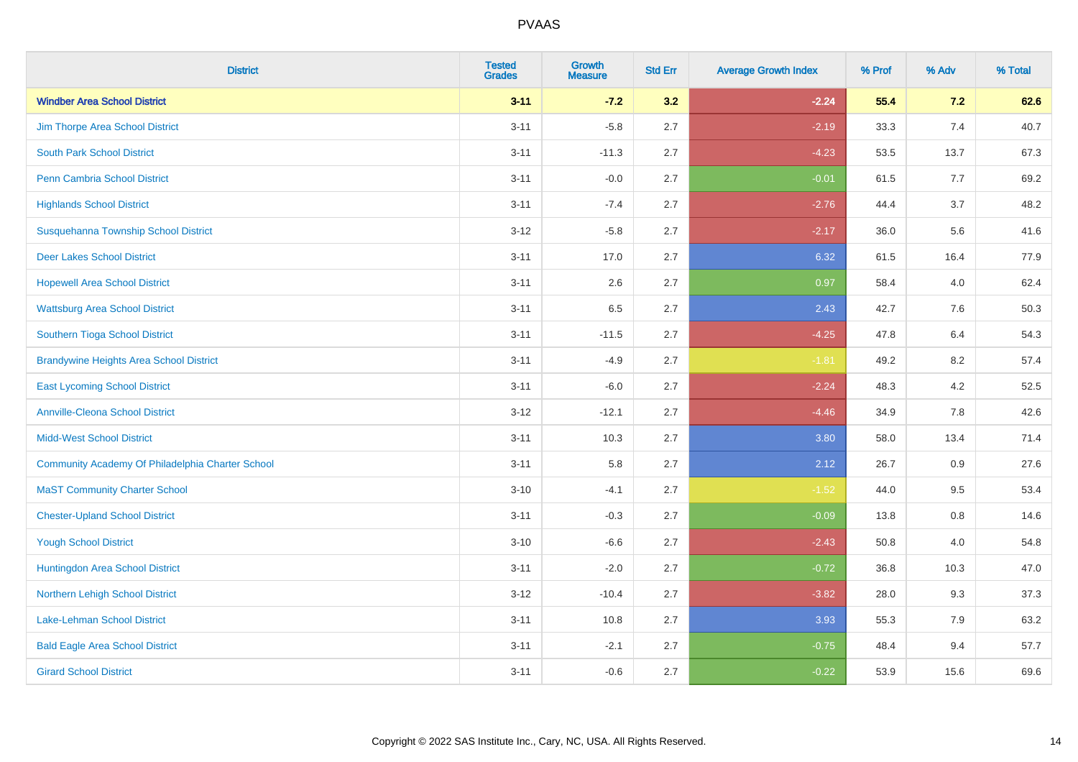| <b>District</b>                                  | <b>Tested</b><br><b>Grades</b> | Growth<br><b>Measure</b> | <b>Std Err</b> | <b>Average Growth Index</b> | % Prof | % Adv | % Total |
|--------------------------------------------------|--------------------------------|--------------------------|----------------|-----------------------------|--------|-------|---------|
| <b>Windber Area School District</b>              | $3 - 11$                       | $-7.2$                   | 3.2            | $-2.24$                     | 55.4   | 7.2   | 62.6    |
| Jim Thorpe Area School District                  | $3 - 11$                       | $-5.8$                   | 2.7            | $-2.19$                     | 33.3   | 7.4   | 40.7    |
| <b>South Park School District</b>                | $3 - 11$                       | $-11.3$                  | 2.7            | $-4.23$                     | 53.5   | 13.7  | 67.3    |
| <b>Penn Cambria School District</b>              | $3 - 11$                       | $-0.0$                   | 2.7            | $-0.01$                     | 61.5   | 7.7   | 69.2    |
| <b>Highlands School District</b>                 | $3 - 11$                       | $-7.4$                   | 2.7            | $-2.76$                     | 44.4   | 3.7   | 48.2    |
| Susquehanna Township School District             | $3 - 12$                       | $-5.8$                   | 2.7            | $-2.17$                     | 36.0   | 5.6   | 41.6    |
| <b>Deer Lakes School District</b>                | $3 - 11$                       | 17.0                     | 2.7            | 6.32                        | 61.5   | 16.4  | 77.9    |
| <b>Hopewell Area School District</b>             | $3 - 11$                       | 2.6                      | 2.7            | 0.97                        | 58.4   | 4.0   | 62.4    |
| <b>Wattsburg Area School District</b>            | $3 - 11$                       | 6.5                      | 2.7            | 2.43                        | 42.7   | 7.6   | 50.3    |
| Southern Tioga School District                   | $3 - 11$                       | $-11.5$                  | 2.7            | $-4.25$                     | 47.8   | 6.4   | 54.3    |
| <b>Brandywine Heights Area School District</b>   | $3 - 11$                       | $-4.9$                   | 2.7            | $-1.81$                     | 49.2   | 8.2   | 57.4    |
| <b>East Lycoming School District</b>             | $3 - 11$                       | $-6.0$                   | 2.7            | $-2.24$                     | 48.3   | 4.2   | 52.5    |
| <b>Annville-Cleona School District</b>           | $3 - 12$                       | $-12.1$                  | 2.7            | $-4.46$                     | 34.9   | 7.8   | 42.6    |
| <b>Midd-West School District</b>                 | $3 - 11$                       | 10.3                     | 2.7            | 3.80                        | 58.0   | 13.4  | 71.4    |
| Community Academy Of Philadelphia Charter School | $3 - 11$                       | 5.8                      | 2.7            | 2.12                        | 26.7   | 0.9   | 27.6    |
| <b>MaST Community Charter School</b>             | $3 - 10$                       | $-4.1$                   | 2.7            | $-1.52$                     | 44.0   | 9.5   | 53.4    |
| <b>Chester-Upland School District</b>            | $3 - 11$                       | $-0.3$                   | 2.7            | $-0.09$                     | 13.8   | 0.8   | 14.6    |
| <b>Yough School District</b>                     | $3 - 10$                       | $-6.6$                   | 2.7            | $-2.43$                     | 50.8   | 4.0   | 54.8    |
| Huntingdon Area School District                  | $3 - 11$                       | $-2.0$                   | 2.7            | $-0.72$                     | 36.8   | 10.3  | 47.0    |
| Northern Lehigh School District                  | $3 - 12$                       | $-10.4$                  | 2.7            | $-3.82$                     | 28.0   | 9.3   | 37.3    |
| <b>Lake-Lehman School District</b>               | $3 - 11$                       | 10.8                     | 2.7            | 3.93                        | 55.3   | 7.9   | 63.2    |
| <b>Bald Eagle Area School District</b>           | $3 - 11$                       | $-2.1$                   | 2.7            | $-0.75$                     | 48.4   | 9.4   | 57.7    |
| <b>Girard School District</b>                    | $3 - 11$                       | $-0.6$                   | 2.7            | $-0.22$                     | 53.9   | 15.6  | 69.6    |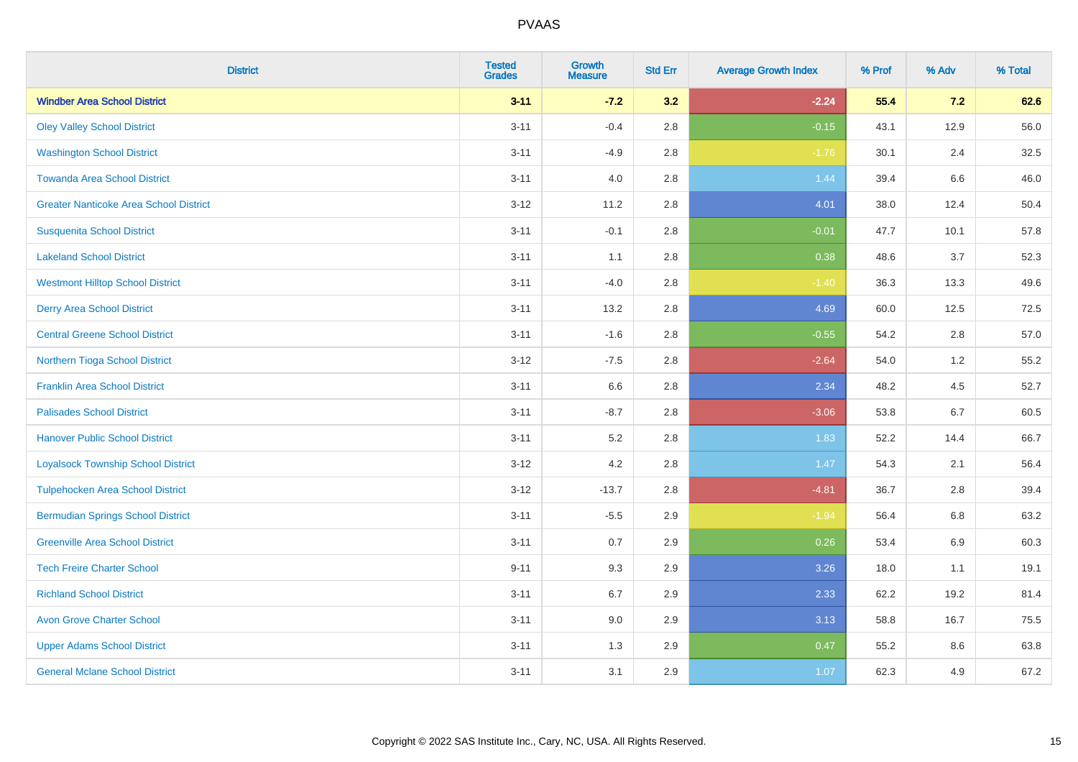| <b>District</b>                               | <b>Tested</b><br><b>Grades</b> | <b>Growth</b><br><b>Measure</b> | <b>Std Err</b> | <b>Average Growth Index</b> | % Prof | % Adv | % Total |
|-----------------------------------------------|--------------------------------|---------------------------------|----------------|-----------------------------|--------|-------|---------|
| <b>Windber Area School District</b>           | $3 - 11$                       | $-7.2$                          | 3.2            | $-2.24$                     | 55.4   | 7.2   | 62.6    |
| <b>Oley Valley School District</b>            | $3 - 11$                       | $-0.4$                          | 2.8            | $-0.15$                     | 43.1   | 12.9  | 56.0    |
| <b>Washington School District</b>             | $3 - 11$                       | $-4.9$                          | 2.8            | $-1.76$                     | 30.1   | 2.4   | 32.5    |
| <b>Towanda Area School District</b>           | $3 - 11$                       | 4.0                             | 2.8            | 1.44                        | 39.4   | 6.6   | 46.0    |
| <b>Greater Nanticoke Area School District</b> | $3-12$                         | 11.2                            | 2.8            | 4.01                        | 38.0   | 12.4  | 50.4    |
| <b>Susquenita School District</b>             | $3 - 11$                       | $-0.1$                          | 2.8            | $-0.01$                     | 47.7   | 10.1  | 57.8    |
| <b>Lakeland School District</b>               | $3 - 11$                       | 1.1                             | 2.8            | 0.38                        | 48.6   | 3.7   | 52.3    |
| <b>Westmont Hilltop School District</b>       | $3 - 11$                       | $-4.0$                          | 2.8            | $-1.40$                     | 36.3   | 13.3  | 49.6    |
| <b>Derry Area School District</b>             | $3 - 11$                       | 13.2                            | 2.8            | 4.69                        | 60.0   | 12.5  | 72.5    |
| <b>Central Greene School District</b>         | $3 - 11$                       | $-1.6$                          | 2.8            | $-0.55$                     | 54.2   | 2.8   | 57.0    |
| Northern Tioga School District                | $3 - 12$                       | $-7.5$                          | 2.8            | $-2.64$                     | 54.0   | 1.2   | 55.2    |
| <b>Franklin Area School District</b>          | $3 - 11$                       | 6.6                             | 2.8            | 2.34                        | 48.2   | 4.5   | 52.7    |
| <b>Palisades School District</b>              | $3 - 11$                       | $-8.7$                          | 2.8            | $-3.06$                     | 53.8   | 6.7   | 60.5    |
| <b>Hanover Public School District</b>         | $3 - 11$                       | 5.2                             | 2.8            | 1.83                        | 52.2   | 14.4  | 66.7    |
| <b>Loyalsock Township School District</b>     | $3-12$                         | 4.2                             | 2.8            | 1.47                        | 54.3   | 2.1   | 56.4    |
| <b>Tulpehocken Area School District</b>       | $3 - 12$                       | $-13.7$                         | 2.8            | $-4.81$                     | 36.7   | 2.8   | 39.4    |
| <b>Bermudian Springs School District</b>      | $3 - 11$                       | $-5.5$                          | 2.9            | $-1.94$                     | 56.4   | 6.8   | 63.2    |
| <b>Greenville Area School District</b>        | $3 - 11$                       | 0.7                             | 2.9            | 0.26                        | 53.4   | 6.9   | 60.3    |
| <b>Tech Freire Charter School</b>             | $9 - 11$                       | 9.3                             | 2.9            | 3.26                        | 18.0   | 1.1   | 19.1    |
| <b>Richland School District</b>               | $3 - 11$                       | 6.7                             | 2.9            | 2.33                        | 62.2   | 19.2  | 81.4    |
| <b>Avon Grove Charter School</b>              | $3 - 11$                       | 9.0                             | 2.9            | 3.13                        | 58.8   | 16.7  | 75.5    |
| <b>Upper Adams School District</b>            | $3 - 11$                       | 1.3                             | 2.9            | 0.47                        | 55.2   | 8.6   | 63.8    |
| <b>General Mclane School District</b>         | $3 - 11$                       | 3.1                             | 2.9            | 1.07                        | 62.3   | 4.9   | 67.2    |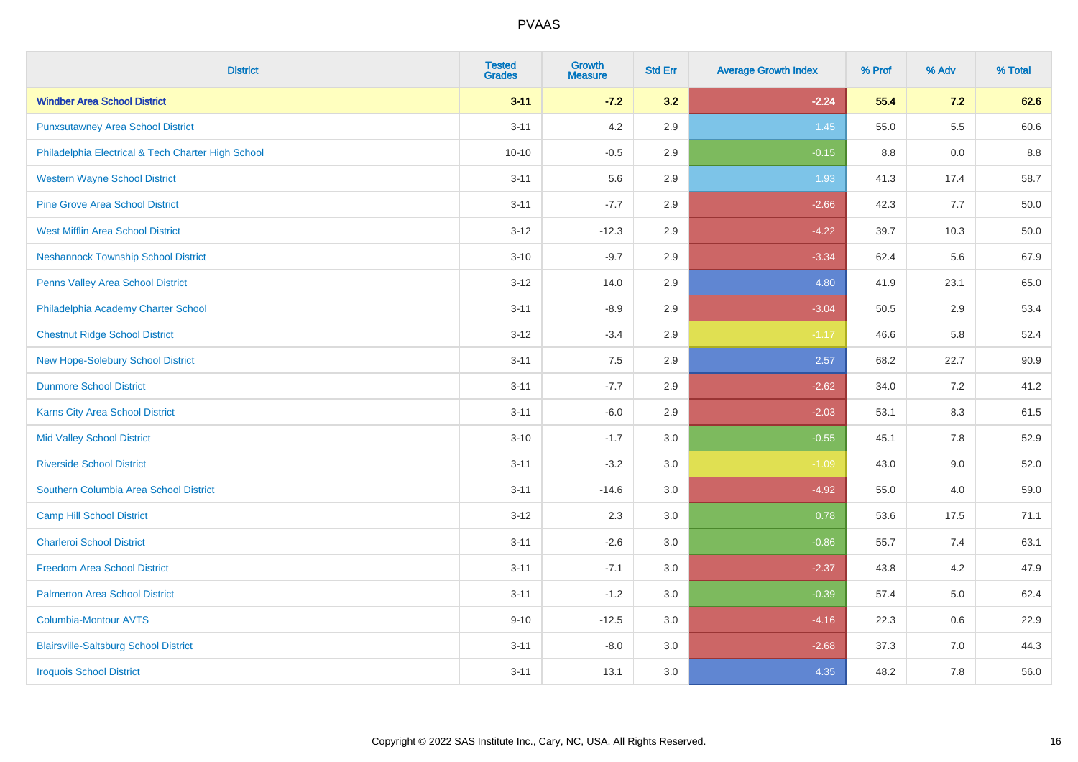| <b>District</b>                                    | <b>Tested</b><br><b>Grades</b> | <b>Growth</b><br><b>Measure</b> | <b>Std Err</b> | <b>Average Growth Index</b> | % Prof | % Adv | % Total |
|----------------------------------------------------|--------------------------------|---------------------------------|----------------|-----------------------------|--------|-------|---------|
| <b>Windber Area School District</b>                | $3 - 11$                       | $-7.2$                          | 3.2            | $-2.24$                     | 55.4   | 7.2   | 62.6    |
| <b>Punxsutawney Area School District</b>           | $3 - 11$                       | 4.2                             | 2.9            | 1.45                        | 55.0   | 5.5   | 60.6    |
| Philadelphia Electrical & Tech Charter High School | $10 - 10$                      | $-0.5$                          | 2.9            | $-0.15$                     | 8.8    | 0.0   | 8.8     |
| <b>Western Wayne School District</b>               | $3 - 11$                       | 5.6                             | 2.9            | 1.93                        | 41.3   | 17.4  | 58.7    |
| <b>Pine Grove Area School District</b>             | $3 - 11$                       | $-7.7$                          | 2.9            | $-2.66$                     | 42.3   | 7.7   | 50.0    |
| <b>West Mifflin Area School District</b>           | $3 - 12$                       | $-12.3$                         | 2.9            | $-4.22$                     | 39.7   | 10.3  | 50.0    |
| <b>Neshannock Township School District</b>         | $3 - 10$                       | $-9.7$                          | 2.9            | $-3.34$                     | 62.4   | 5.6   | 67.9    |
| <b>Penns Valley Area School District</b>           | $3 - 12$                       | 14.0                            | 2.9            | 4.80                        | 41.9   | 23.1  | 65.0    |
| Philadelphia Academy Charter School                | $3 - 11$                       | $-8.9$                          | 2.9            | $-3.04$                     | 50.5   | 2.9   | 53.4    |
| <b>Chestnut Ridge School District</b>              | $3 - 12$                       | $-3.4$                          | 2.9            | $-1.17$                     | 46.6   | 5.8   | 52.4    |
| New Hope-Solebury School District                  | $3 - 11$                       | 7.5                             | 2.9            | 2.57                        | 68.2   | 22.7  | 90.9    |
| <b>Dunmore School District</b>                     | $3 - 11$                       | $-7.7$                          | 2.9            | $-2.62$                     | 34.0   | 7.2   | 41.2    |
| Karns City Area School District                    | $3 - 11$                       | $-6.0$                          | 2.9            | $-2.03$                     | 53.1   | 8.3   | 61.5    |
| <b>Mid Valley School District</b>                  | $3 - 10$                       | $-1.7$                          | 3.0            | $-0.55$                     | 45.1   | 7.8   | 52.9    |
| <b>Riverside School District</b>                   | $3 - 11$                       | $-3.2$                          | 3.0            | $-1.09$                     | 43.0   | 9.0   | 52.0    |
| Southern Columbia Area School District             | $3 - 11$                       | $-14.6$                         | 3.0            | $-4.92$                     | 55.0   | 4.0   | 59.0    |
| <b>Camp Hill School District</b>                   | $3 - 12$                       | 2.3                             | 3.0            | 0.78                        | 53.6   | 17.5  | 71.1    |
| <b>Charleroi School District</b>                   | $3 - 11$                       | $-2.6$                          | 3.0            | $-0.86$                     | 55.7   | 7.4   | 63.1    |
| <b>Freedom Area School District</b>                | $3 - 11$                       | $-7.1$                          | 3.0            | $-2.37$                     | 43.8   | 4.2   | 47.9    |
| <b>Palmerton Area School District</b>              | $3 - 11$                       | $-1.2$                          | 3.0            | $-0.39$                     | 57.4   | 5.0   | 62.4    |
| <b>Columbia-Montour AVTS</b>                       | $9 - 10$                       | $-12.5$                         | 3.0            | $-4.16$                     | 22.3   | 0.6   | 22.9    |
| <b>Blairsville-Saltsburg School District</b>       | $3 - 11$                       | $-8.0$                          | 3.0            | $-2.68$                     | 37.3   | 7.0   | 44.3    |
| <b>Iroquois School District</b>                    | $3 - 11$                       | 13.1                            | 3.0            | 4.35                        | 48.2   | 7.8   | 56.0    |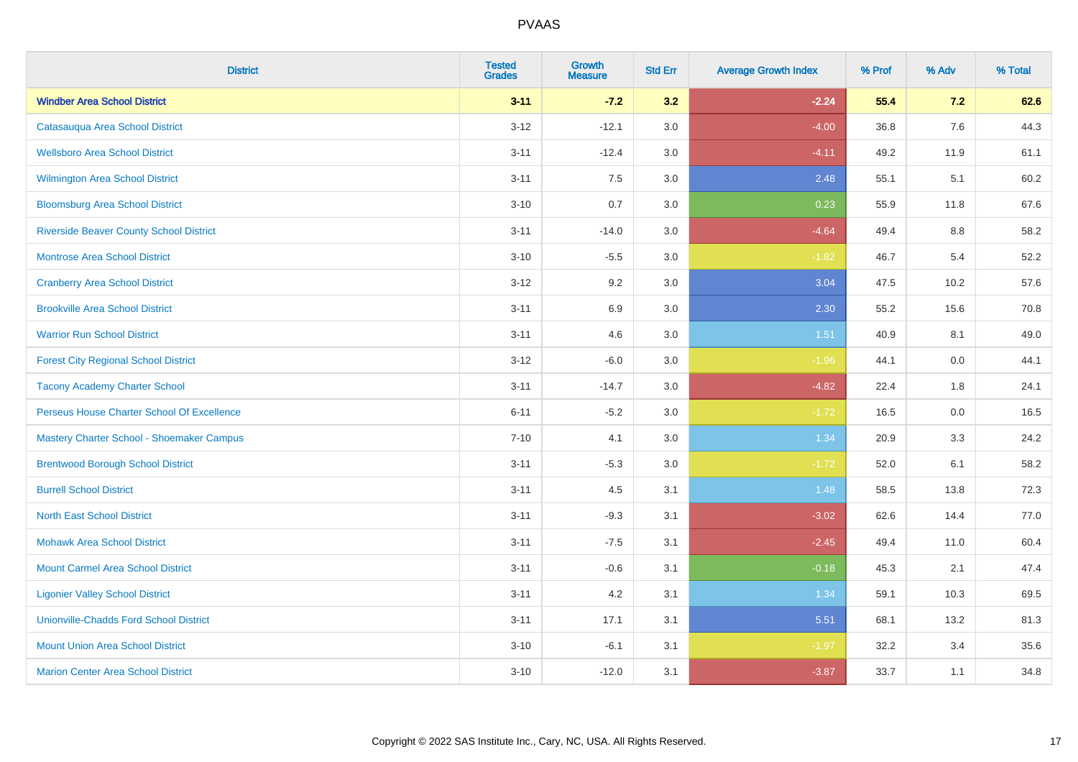| <b>District</b>                                | <b>Tested</b><br><b>Grades</b> | <b>Growth</b><br><b>Measure</b> | <b>Std Err</b> | <b>Average Growth Index</b> | % Prof | % Adv   | % Total |
|------------------------------------------------|--------------------------------|---------------------------------|----------------|-----------------------------|--------|---------|---------|
| <b>Windber Area School District</b>            | $3 - 11$                       | $-7.2$                          | 3.2            | $-2.24$                     | 55.4   | 7.2     | 62.6    |
| Catasauqua Area School District                | $3 - 12$                       | $-12.1$                         | 3.0            | $-4.00$                     | 36.8   | 7.6     | 44.3    |
| <b>Wellsboro Area School District</b>          | $3 - 11$                       | $-12.4$                         | 3.0            | $-4.11$                     | 49.2   | 11.9    | 61.1    |
| <b>Wilmington Area School District</b>         | $3 - 11$                       | 7.5                             | 3.0            | 2.48                        | 55.1   | 5.1     | 60.2    |
| <b>Bloomsburg Area School District</b>         | $3 - 10$                       | 0.7                             | 3.0            | 0.23                        | 55.9   | 11.8    | 67.6    |
| <b>Riverside Beaver County School District</b> | $3 - 11$                       | $-14.0$                         | 3.0            | $-4.64$                     | 49.4   | 8.8     | 58.2    |
| <b>Montrose Area School District</b>           | $3 - 10$                       | $-5.5$                          | 3.0            | $-1.82$                     | 46.7   | 5.4     | 52.2    |
| <b>Cranberry Area School District</b>          | $3 - 12$                       | 9.2                             | 3.0            | 3.04                        | 47.5   | 10.2    | 57.6    |
| <b>Brookville Area School District</b>         | $3 - 11$                       | 6.9                             | 3.0            | 2.30                        | 55.2   | 15.6    | 70.8    |
| <b>Warrior Run School District</b>             | $3 - 11$                       | 4.6                             | 3.0            | 1.51                        | 40.9   | 8.1     | 49.0    |
| <b>Forest City Regional School District</b>    | $3 - 12$                       | $-6.0$                          | 3.0            | $-1.96$                     | 44.1   | 0.0     | 44.1    |
| <b>Tacony Academy Charter School</b>           | $3 - 11$                       | $-14.7$                         | 3.0            | $-4.82$                     | 22.4   | 1.8     | 24.1    |
| Perseus House Charter School Of Excellence     | $6 - 11$                       | $-5.2$                          | 3.0            | $-1.72$                     | 16.5   | $0.0\,$ | 16.5    |
| Mastery Charter School - Shoemaker Campus      | $7 - 10$                       | 4.1                             | 3.0            | 1.34                        | 20.9   | 3.3     | 24.2    |
| <b>Brentwood Borough School District</b>       | $3 - 11$                       | $-5.3$                          | 3.0            | $-1.72$                     | 52.0   | 6.1     | 58.2    |
| <b>Burrell School District</b>                 | $3 - 11$                       | 4.5                             | 3.1            | 1.48                        | 58.5   | 13.8    | 72.3    |
| <b>North East School District</b>              | $3 - 11$                       | $-9.3$                          | 3.1            | $-3.02$                     | 62.6   | 14.4    | 77.0    |
| <b>Mohawk Area School District</b>             | $3 - 11$                       | $-7.5$                          | 3.1            | $-2.45$                     | 49.4   | 11.0    | 60.4    |
| <b>Mount Carmel Area School District</b>       | $3 - 11$                       | $-0.6$                          | 3.1            | $-0.18$                     | 45.3   | 2.1     | 47.4    |
| <b>Ligonier Valley School District</b>         | $3 - 11$                       | 4.2                             | 3.1            | 1.34                        | 59.1   | 10.3    | 69.5    |
| <b>Unionville-Chadds Ford School District</b>  | $3 - 11$                       | 17.1                            | 3.1            | 5.51                        | 68.1   | 13.2    | 81.3    |
| <b>Mount Union Area School District</b>        | $3 - 10$                       | $-6.1$                          | 3.1            | $-1.97$                     | 32.2   | 3.4     | 35.6    |
| <b>Marion Center Area School District</b>      | $3 - 10$                       | $-12.0$                         | 3.1            | $-3.87$                     | 33.7   | 1.1     | 34.8    |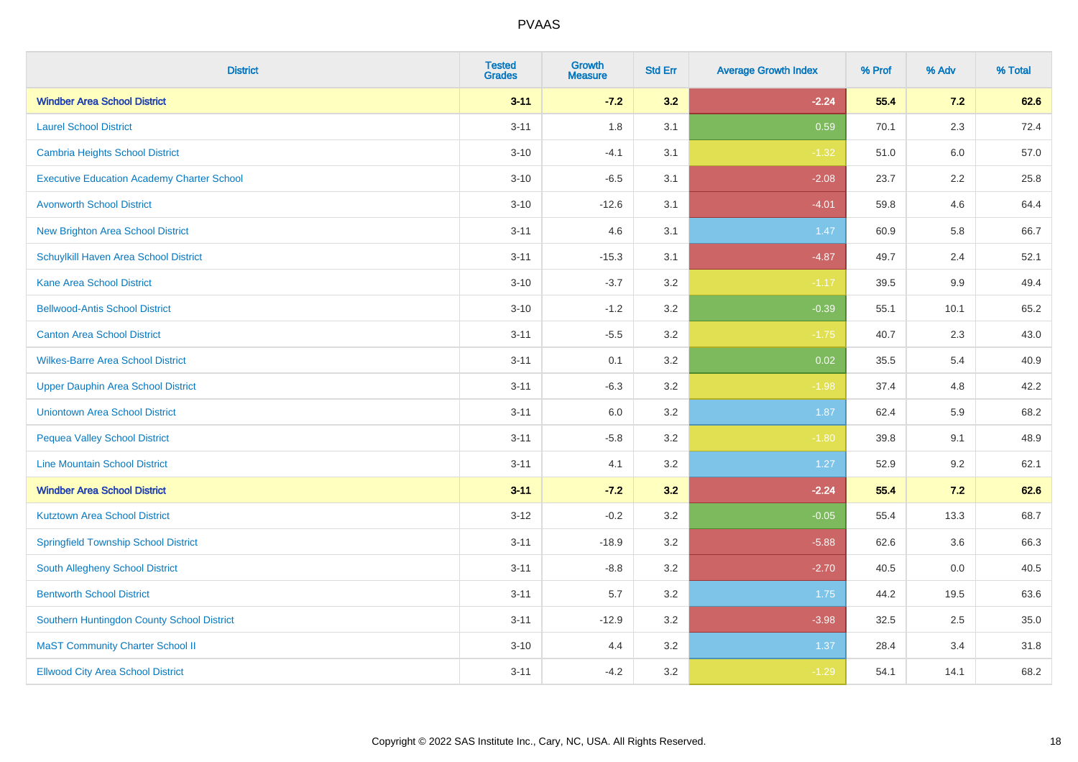| <b>District</b>                                   | <b>Tested</b><br><b>Grades</b> | Growth<br><b>Measure</b> | <b>Std Err</b> | <b>Average Growth Index</b> | % Prof | % Adv   | % Total |
|---------------------------------------------------|--------------------------------|--------------------------|----------------|-----------------------------|--------|---------|---------|
| <b>Windber Area School District</b>               | $3 - 11$                       | $-7.2$                   | 3.2            | $-2.24$                     | 55.4   | 7.2     | 62.6    |
| <b>Laurel School District</b>                     | $3 - 11$                       | 1.8                      | 3.1            | 0.59                        | 70.1   | 2.3     | 72.4    |
| Cambria Heights School District                   | $3 - 10$                       | $-4.1$                   | 3.1            | $-1.32$                     | 51.0   | 6.0     | 57.0    |
| <b>Executive Education Academy Charter School</b> | $3 - 10$                       | $-6.5$                   | 3.1            | $-2.08$                     | 23.7   | $2.2\,$ | 25.8    |
| <b>Avonworth School District</b>                  | $3 - 10$                       | $-12.6$                  | 3.1            | $-4.01$                     | 59.8   | 4.6     | 64.4    |
| <b>New Brighton Area School District</b>          | $3 - 11$                       | 4.6                      | 3.1            | 1.47                        | 60.9   | 5.8     | 66.7    |
| Schuylkill Haven Area School District             | $3 - 11$                       | $-15.3$                  | 3.1            | $-4.87$                     | 49.7   | 2.4     | 52.1    |
| <b>Kane Area School District</b>                  | $3 - 10$                       | $-3.7$                   | 3.2            | $-1.17$                     | 39.5   | 9.9     | 49.4    |
| <b>Bellwood-Antis School District</b>             | $3 - 10$                       | $-1.2$                   | 3.2            | $-0.39$                     | 55.1   | 10.1    | 65.2    |
| <b>Canton Area School District</b>                | $3 - 11$                       | $-5.5$                   | 3.2            | $-1.75$                     | 40.7   | 2.3     | 43.0    |
| <b>Wilkes-Barre Area School District</b>          | $3 - 11$                       | 0.1                      | 3.2            | 0.02                        | 35.5   | 5.4     | 40.9    |
| <b>Upper Dauphin Area School District</b>         | $3 - 11$                       | $-6.3$                   | 3.2            | $-1.98$                     | 37.4   | 4.8     | 42.2    |
| <b>Uniontown Area School District</b>             | $3 - 11$                       | 6.0                      | 3.2            | 1.87                        | 62.4   | 5.9     | 68.2    |
| <b>Pequea Valley School District</b>              | $3 - 11$                       | $-5.8$                   | 3.2            | $-1.80$                     | 39.8   | 9.1     | 48.9    |
| <b>Line Mountain School District</b>              | $3 - 11$                       | 4.1                      | $3.2\,$        | 1.27                        | 52.9   | 9.2     | 62.1    |
| <b>Windber Area School District</b>               | $3 - 11$                       | $-7.2$                   | 3.2            | $-2.24$                     | 55.4   | 7.2     | 62.6    |
| <b>Kutztown Area School District</b>              | $3 - 12$                       | $-0.2$                   | 3.2            | $-0.05$                     | 55.4   | 13.3    | 68.7    |
| <b>Springfield Township School District</b>       | $3 - 11$                       | $-18.9$                  | 3.2            | $-5.88$                     | 62.6   | 3.6     | 66.3    |
| South Allegheny School District                   | $3 - 11$                       | $-8.8$                   | 3.2            | $-2.70$                     | 40.5   | 0.0     | 40.5    |
| <b>Bentworth School District</b>                  | $3 - 11$                       | 5.7                      | 3.2            | 1.75                        | 44.2   | 19.5    | 63.6    |
| Southern Huntingdon County School District        | $3 - 11$                       | $-12.9$                  | 3.2            | $-3.98$                     | 32.5   | 2.5     | 35.0    |
| <b>MaST Community Charter School II</b>           | $3 - 10$                       | 4.4                      | 3.2            | 1.37                        | 28.4   | 3.4     | 31.8    |
| <b>Ellwood City Area School District</b>          | $3 - 11$                       | $-4.2$                   | 3.2            | $-1.29$                     | 54.1   | 14.1    | 68.2    |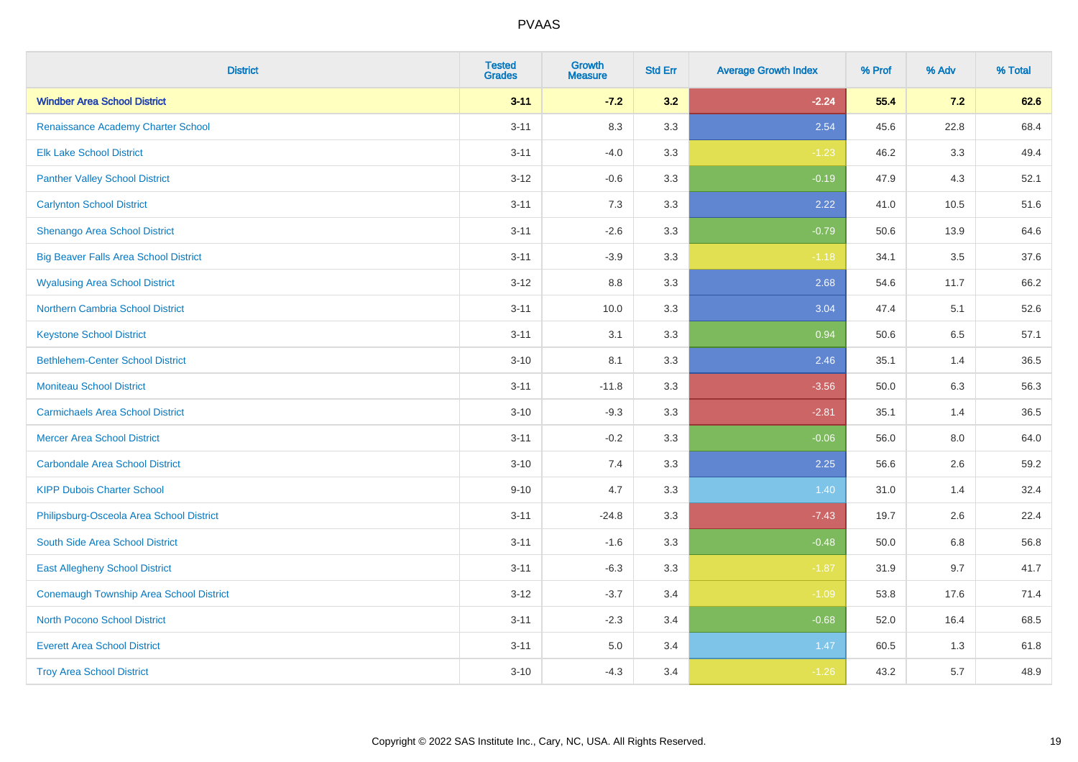| <b>District</b>                                | <b>Tested</b><br><b>Grades</b> | <b>Growth</b><br><b>Measure</b> | <b>Std Err</b> | <b>Average Growth Index</b> | % Prof | % Adv | % Total |
|------------------------------------------------|--------------------------------|---------------------------------|----------------|-----------------------------|--------|-------|---------|
| <b>Windber Area School District</b>            | $3 - 11$                       | $-7.2$                          | 3.2            | $-2.24$                     | 55.4   | 7.2   | 62.6    |
| Renaissance Academy Charter School             | $3 - 11$                       | 8.3                             | 3.3            | 2.54                        | 45.6   | 22.8  | 68.4    |
| <b>Elk Lake School District</b>                | $3 - 11$                       | $-4.0$                          | 3.3            | $-1.23$                     | 46.2   | 3.3   | 49.4    |
| <b>Panther Valley School District</b>          | $3 - 12$                       | $-0.6$                          | 3.3            | $-0.19$                     | 47.9   | 4.3   | 52.1    |
| <b>Carlynton School District</b>               | $3 - 11$                       | 7.3                             | 3.3            | 2.22                        | 41.0   | 10.5  | 51.6    |
| Shenango Area School District                  | $3 - 11$                       | $-2.6$                          | 3.3            | $-0.79$                     | 50.6   | 13.9  | 64.6    |
| <b>Big Beaver Falls Area School District</b>   | $3 - 11$                       | $-3.9$                          | 3.3            | $-1.18$                     | 34.1   | 3.5   | 37.6    |
| <b>Wyalusing Area School District</b>          | $3 - 12$                       | $8.8\,$                         | 3.3            | 2.68                        | 54.6   | 11.7  | 66.2    |
| <b>Northern Cambria School District</b>        | $3 - 11$                       | 10.0                            | 3.3            | 3.04                        | 47.4   | 5.1   | 52.6    |
| <b>Keystone School District</b>                | $3 - 11$                       | 3.1                             | 3.3            | 0.94                        | 50.6   | 6.5   | 57.1    |
| <b>Bethlehem-Center School District</b>        | $3 - 10$                       | 8.1                             | 3.3            | 2.46                        | 35.1   | 1.4   | 36.5    |
| <b>Moniteau School District</b>                | $3 - 11$                       | $-11.8$                         | 3.3            | $-3.56$                     | 50.0   | 6.3   | 56.3    |
| <b>Carmichaels Area School District</b>        | $3 - 10$                       | $-9.3$                          | 3.3            | $-2.81$                     | 35.1   | 1.4   | 36.5    |
| <b>Mercer Area School District</b>             | $3 - 11$                       | $-0.2$                          | 3.3            | $-0.06$                     | 56.0   | 8.0   | 64.0    |
| <b>Carbondale Area School District</b>         | $3 - 10$                       | 7.4                             | 3.3            | 2.25                        | 56.6   | 2.6   | 59.2    |
| <b>KIPP Dubois Charter School</b>              | $9 - 10$                       | 4.7                             | 3.3            | 1.40                        | 31.0   | 1.4   | 32.4    |
| Philipsburg-Osceola Area School District       | $3 - 11$                       | $-24.8$                         | 3.3            | $-7.43$                     | 19.7   | 2.6   | 22.4    |
| South Side Area School District                | $3 - 11$                       | $-1.6$                          | 3.3            | $-0.48$                     | 50.0   | 6.8   | 56.8    |
| <b>East Allegheny School District</b>          | $3 - 11$                       | $-6.3$                          | 3.3            | $-1.87$                     | 31.9   | 9.7   | 41.7    |
| <b>Conemaugh Township Area School District</b> | $3 - 12$                       | $-3.7$                          | 3.4            | $-1.09$                     | 53.8   | 17.6  | 71.4    |
| <b>North Pocono School District</b>            | $3 - 11$                       | $-2.3$                          | 3.4            | $-0.68$                     | 52.0   | 16.4  | 68.5    |
| <b>Everett Area School District</b>            | $3 - 11$                       | $5.0\,$                         | 3.4            | 1.47                        | 60.5   | 1.3   | 61.8    |
| <b>Troy Area School District</b>               | $3 - 10$                       | $-4.3$                          | 3.4            | $-1.26$                     | 43.2   | 5.7   | 48.9    |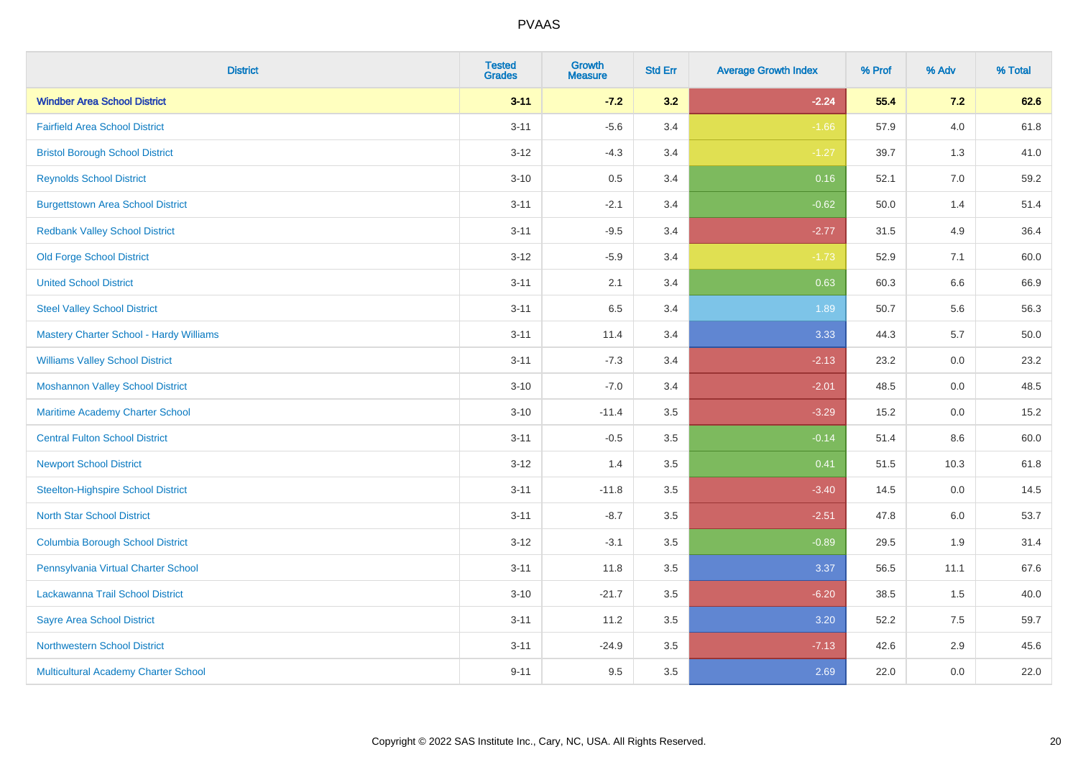| <b>District</b>                                | <b>Tested</b><br><b>Grades</b> | <b>Growth</b><br><b>Measure</b> | <b>Std Err</b> | <b>Average Growth Index</b> | % Prof | % Adv   | % Total |
|------------------------------------------------|--------------------------------|---------------------------------|----------------|-----------------------------|--------|---------|---------|
| <b>Windber Area School District</b>            | $3 - 11$                       | $-7.2$                          | 3.2            | $-2.24$                     | 55.4   | 7.2     | 62.6    |
| <b>Fairfield Area School District</b>          | $3 - 11$                       | $-5.6$                          | 3.4            | $-1.66$                     | 57.9   | $4.0\,$ | 61.8    |
| <b>Bristol Borough School District</b>         | $3 - 12$                       | $-4.3$                          | 3.4            | $-1.27$                     | 39.7   | 1.3     | 41.0    |
| <b>Reynolds School District</b>                | $3 - 10$                       | 0.5                             | 3.4            | 0.16                        | 52.1   | 7.0     | 59.2    |
| <b>Burgettstown Area School District</b>       | $3 - 11$                       | $-2.1$                          | 3.4            | $-0.62$                     | 50.0   | 1.4     | 51.4    |
| <b>Redbank Valley School District</b>          | $3 - 11$                       | $-9.5$                          | 3.4            | $-2.77$                     | 31.5   | 4.9     | 36.4    |
| Old Forge School District                      | $3 - 12$                       | $-5.9$                          | 3.4            | $-1.73$                     | 52.9   | 7.1     | 60.0    |
| <b>United School District</b>                  | $3 - 11$                       | 2.1                             | 3.4            | 0.63                        | 60.3   | 6.6     | 66.9    |
| <b>Steel Valley School District</b>            | $3 - 11$                       | 6.5                             | 3.4            | 1.89                        | 50.7   | 5.6     | 56.3    |
| <b>Mastery Charter School - Hardy Williams</b> | $3 - 11$                       | 11.4                            | 3.4            | 3.33                        | 44.3   | 5.7     | 50.0    |
| <b>Williams Valley School District</b>         | $3 - 11$                       | $-7.3$                          | 3.4            | $-2.13$                     | 23.2   | 0.0     | 23.2    |
| <b>Moshannon Valley School District</b>        | $3 - 10$                       | $-7.0$                          | 3.4            | $-2.01$                     | 48.5   | 0.0     | 48.5    |
| Maritime Academy Charter School                | $3 - 10$                       | $-11.4$                         | 3.5            | $-3.29$                     | 15.2   | 0.0     | 15.2    |
| <b>Central Fulton School District</b>          | $3 - 11$                       | $-0.5$                          | 3.5            | $-0.14$                     | 51.4   | 8.6     | 60.0    |
| <b>Newport School District</b>                 | $3 - 12$                       | 1.4                             | 3.5            | 0.41                        | 51.5   | 10.3    | 61.8    |
| <b>Steelton-Highspire School District</b>      | $3 - 11$                       | $-11.8$                         | 3.5            | $-3.40$                     | 14.5   | $0.0\,$ | 14.5    |
| <b>North Star School District</b>              | $3 - 11$                       | $-8.7$                          | 3.5            | $-2.51$                     | 47.8   | 6.0     | 53.7    |
| <b>Columbia Borough School District</b>        | $3 - 12$                       | $-3.1$                          | 3.5            | $-0.89$                     | 29.5   | 1.9     | 31.4    |
| Pennsylvania Virtual Charter School            | $3 - 11$                       | 11.8                            | 3.5            | 3.37                        | 56.5   | 11.1    | 67.6    |
| Lackawanna Trail School District               | $3 - 10$                       | $-21.7$                         | 3.5            | $-6.20$                     | 38.5   | 1.5     | 40.0    |
| <b>Sayre Area School District</b>              | $3 - 11$                       | 11.2                            | 3.5            | 3.20                        | 52.2   | 7.5     | 59.7    |
| <b>Northwestern School District</b>            | $3 - 11$                       | $-24.9$                         | 3.5            | $-7.13$                     | 42.6   | 2.9     | 45.6    |
| Multicultural Academy Charter School           | $9 - 11$                       | 9.5                             | 3.5            | 2.69                        | 22.0   | 0.0     | 22.0    |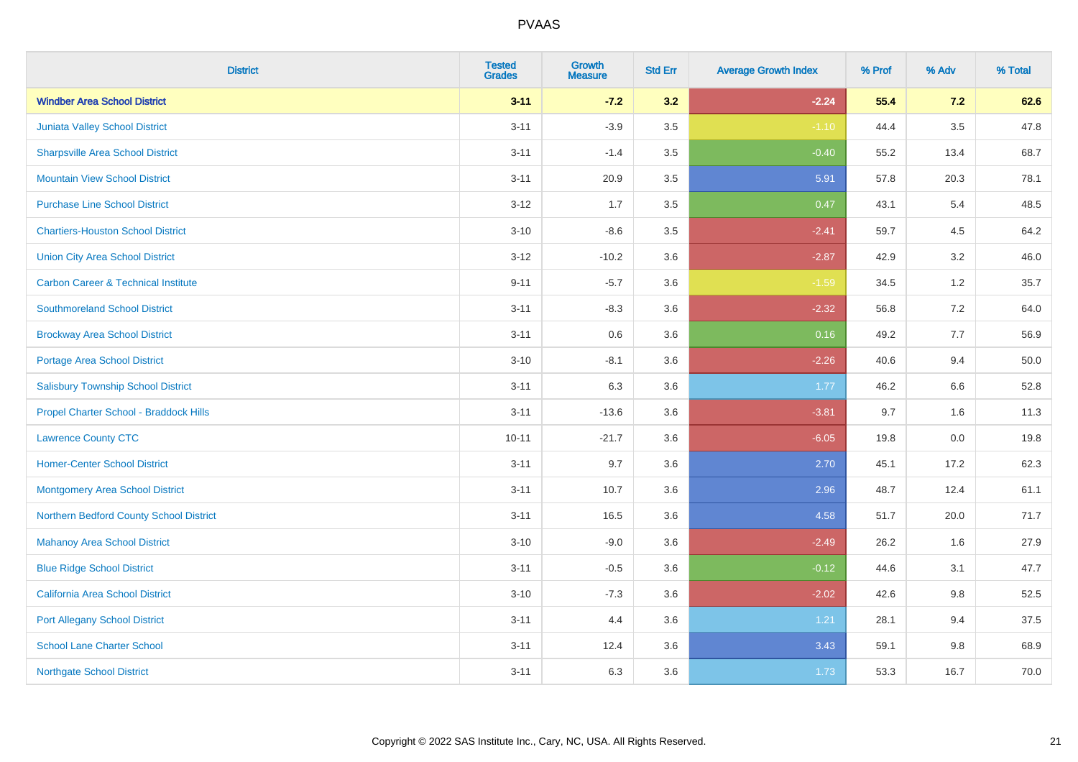| <b>District</b>                                | <b>Tested</b><br><b>Grades</b> | <b>Growth</b><br><b>Measure</b> | <b>Std Err</b> | <b>Average Growth Index</b> | % Prof | % Adv   | % Total |
|------------------------------------------------|--------------------------------|---------------------------------|----------------|-----------------------------|--------|---------|---------|
| <b>Windber Area School District</b>            | $3 - 11$                       | $-7.2$                          | 3.2            | $-2.24$                     | 55.4   | 7.2     | 62.6    |
| Juniata Valley School District                 | $3 - 11$                       | $-3.9$                          | $3.5\,$        | $-1.10$                     | 44.4   | $3.5\,$ | 47.8    |
| <b>Sharpsville Area School District</b>        | $3 - 11$                       | $-1.4$                          | 3.5            | $-0.40$                     | 55.2   | 13.4    | 68.7    |
| <b>Mountain View School District</b>           | $3 - 11$                       | 20.9                            | 3.5            | 5.91                        | 57.8   | 20.3    | 78.1    |
| <b>Purchase Line School District</b>           | $3 - 12$                       | 1.7                             | 3.5            | 0.47                        | 43.1   | 5.4     | 48.5    |
| <b>Chartiers-Houston School District</b>       | $3 - 10$                       | $-8.6$                          | 3.5            | $-2.41$                     | 59.7   | 4.5     | 64.2    |
| <b>Union City Area School District</b>         | $3 - 12$                       | $-10.2$                         | 3.6            | $-2.87$                     | 42.9   | 3.2     | 46.0    |
| <b>Carbon Career &amp; Technical Institute</b> | $9 - 11$                       | $-5.7$                          | 3.6            | $-1.59$                     | 34.5   | $1.2$   | 35.7    |
| <b>Southmoreland School District</b>           | $3 - 11$                       | $-8.3$                          | 3.6            | $-2.32$                     | 56.8   | 7.2     | 64.0    |
| <b>Brockway Area School District</b>           | $3 - 11$                       | 0.6                             | 3.6            | 0.16                        | 49.2   | 7.7     | 56.9    |
| Portage Area School District                   | $3 - 10$                       | $-8.1$                          | 3.6            | $-2.26$                     | 40.6   | 9.4     | 50.0    |
| <b>Salisbury Township School District</b>      | $3 - 11$                       | 6.3                             | 3.6            | 1.77                        | 46.2   | 6.6     | 52.8    |
| Propel Charter School - Braddock Hills         | $3 - 11$                       | $-13.6$                         | 3.6            | $-3.81$                     | 9.7    | 1.6     | 11.3    |
| <b>Lawrence County CTC</b>                     | $10 - 11$                      | $-21.7$                         | 3.6            | $-6.05$                     | 19.8   | $0.0\,$ | 19.8    |
| <b>Homer-Center School District</b>            | $3 - 11$                       | 9.7                             | 3.6            | 2.70                        | 45.1   | 17.2    | 62.3    |
| <b>Montgomery Area School District</b>         | $3 - 11$                       | 10.7                            | 3.6            | 2.96                        | 48.7   | 12.4    | 61.1    |
| Northern Bedford County School District        | $3 - 11$                       | 16.5                            | 3.6            | 4.58                        | 51.7   | 20.0    | 71.7    |
| <b>Mahanoy Area School District</b>            | $3 - 10$                       | $-9.0$                          | 3.6            | $-2.49$                     | 26.2   | 1.6     | 27.9    |
| <b>Blue Ridge School District</b>              | $3 - 11$                       | $-0.5$                          | 3.6            | $-0.12$                     | 44.6   | 3.1     | 47.7    |
| California Area School District                | $3 - 10$                       | $-7.3$                          | 3.6            | $-2.02$                     | 42.6   | 9.8     | 52.5    |
| <b>Port Allegany School District</b>           | $3 - 11$                       | 4.4                             | 3.6            | 1.21                        | 28.1   | 9.4     | 37.5    |
| <b>School Lane Charter School</b>              | $3 - 11$                       | 12.4                            | 3.6            | 3.43                        | 59.1   | $9.8\,$ | 68.9    |
| <b>Northgate School District</b>               | $3 - 11$                       | 6.3                             | 3.6            | 1.73                        | 53.3   | 16.7    | 70.0    |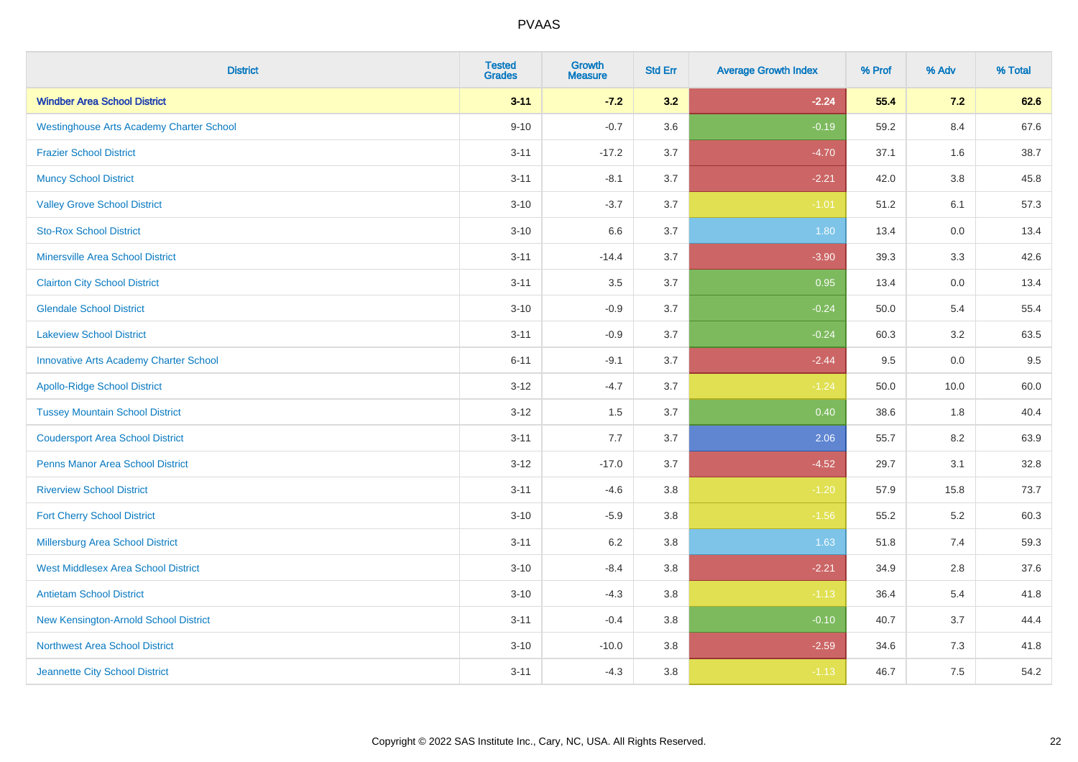| <b>District</b>                                 | <b>Tested</b><br><b>Grades</b> | <b>Growth</b><br><b>Measure</b> | <b>Std Err</b> | <b>Average Growth Index</b> | % Prof | % Adv   | % Total |
|-------------------------------------------------|--------------------------------|---------------------------------|----------------|-----------------------------|--------|---------|---------|
| <b>Windber Area School District</b>             | $3 - 11$                       | $-7.2$                          | 3.2            | $-2.24$                     | 55.4   | 7.2     | 62.6    |
| <b>Westinghouse Arts Academy Charter School</b> | $9 - 10$                       | $-0.7$                          | 3.6            | $-0.19$                     | 59.2   | 8.4     | 67.6    |
| <b>Frazier School District</b>                  | $3 - 11$                       | $-17.2$                         | 3.7            | $-4.70$                     | 37.1   | 1.6     | 38.7    |
| <b>Muncy School District</b>                    | $3 - 11$                       | $-8.1$                          | 3.7            | $-2.21$                     | 42.0   | $3.8\,$ | 45.8    |
| <b>Valley Grove School District</b>             | $3 - 10$                       | $-3.7$                          | 3.7            | $-1.01$                     | 51.2   | 6.1     | 57.3    |
| <b>Sto-Rox School District</b>                  | $3 - 10$                       | 6.6                             | 3.7            | 1.80                        | 13.4   | 0.0     | 13.4    |
| <b>Minersville Area School District</b>         | $3 - 11$                       | $-14.4$                         | 3.7            | $-3.90$                     | 39.3   | 3.3     | 42.6    |
| <b>Clairton City School District</b>            | $3 - 11$                       | 3.5                             | 3.7            | 0.95                        | 13.4   | 0.0     | 13.4    |
| <b>Glendale School District</b>                 | $3 - 10$                       | $-0.9$                          | 3.7            | $-0.24$                     | 50.0   | 5.4     | 55.4    |
| <b>Lakeview School District</b>                 | $3 - 11$                       | $-0.9$                          | 3.7            | $-0.24$                     | 60.3   | $3.2\,$ | 63.5    |
| <b>Innovative Arts Academy Charter School</b>   | $6 - 11$                       | $-9.1$                          | 3.7            | $-2.44$                     | 9.5    | 0.0     | 9.5     |
| <b>Apollo-Ridge School District</b>             | $3 - 12$                       | $-4.7$                          | 3.7            | $-1.24$                     | 50.0   | 10.0    | 60.0    |
| <b>Tussey Mountain School District</b>          | $3 - 12$                       | 1.5                             | 3.7            | 0.40                        | 38.6   | 1.8     | 40.4    |
| <b>Coudersport Area School District</b>         | $3 - 11$                       | $7.7\,$                         | 3.7            | 2.06                        | 55.7   | 8.2     | 63.9    |
| <b>Penns Manor Area School District</b>         | $3 - 12$                       | $-17.0$                         | 3.7            | $-4.52$                     | 29.7   | 3.1     | 32.8    |
| <b>Riverview School District</b>                | $3 - 11$                       | $-4.6$                          | 3.8            | $-1.20$                     | 57.9   | 15.8    | 73.7    |
| <b>Fort Cherry School District</b>              | $3 - 10$                       | $-5.9$                          | 3.8            | $-1.56$                     | 55.2   | 5.2     | 60.3    |
| Millersburg Area School District                | $3 - 11$                       | $6.2\,$                         | 3.8            | 1.63                        | 51.8   | 7.4     | 59.3    |
| <b>West Middlesex Area School District</b>      | $3 - 10$                       | $-8.4$                          | $3.8\,$        | $-2.21$                     | 34.9   | 2.8     | 37.6    |
| <b>Antietam School District</b>                 | $3 - 10$                       | $-4.3$                          | 3.8            | $-1.13$                     | 36.4   | 5.4     | 41.8    |
| New Kensington-Arnold School District           | $3 - 11$                       | $-0.4$                          | 3.8            | $-0.10$                     | 40.7   | 3.7     | 44.4    |
| Northwest Area School District                  | $3 - 10$                       | $-10.0$                         | 3.8            | $-2.59$                     | 34.6   | 7.3     | 41.8    |
| Jeannette City School District                  | $3 - 11$                       | $-4.3$                          | 3.8            | $-1.13$                     | 46.7   | 7.5     | 54.2    |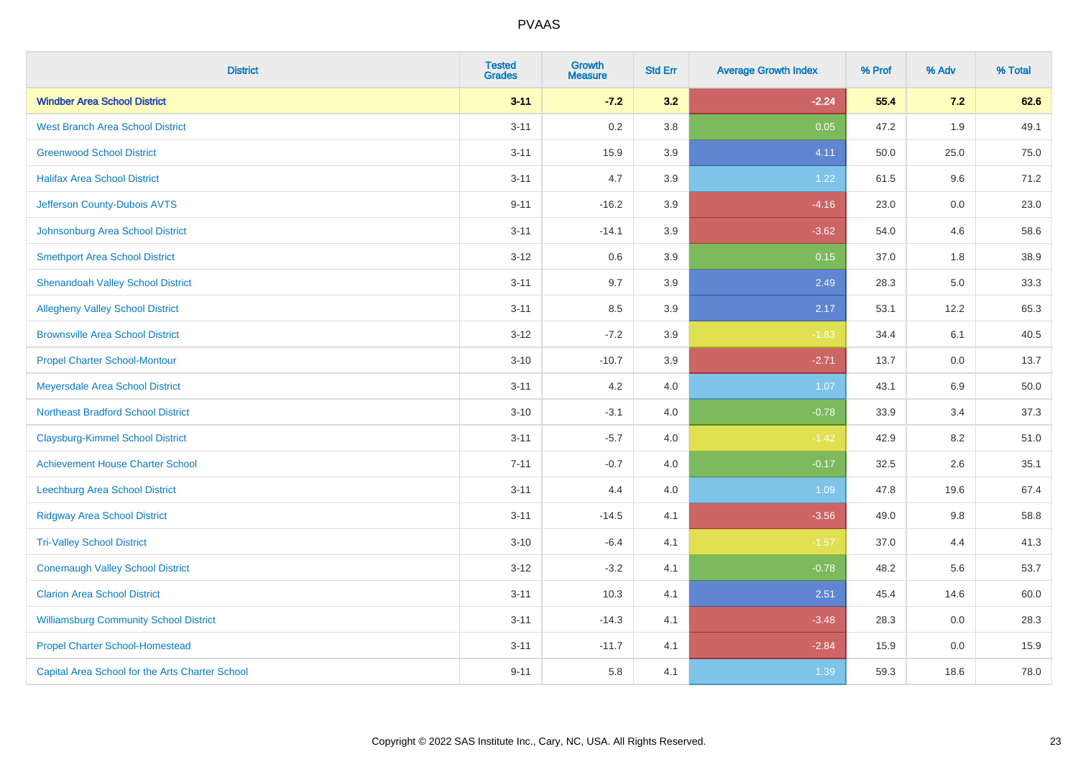| <b>District</b>                                 | <b>Tested</b><br><b>Grades</b> | <b>Growth</b><br><b>Measure</b> | <b>Std Err</b> | <b>Average Growth Index</b> | % Prof | % Adv | % Total |
|-------------------------------------------------|--------------------------------|---------------------------------|----------------|-----------------------------|--------|-------|---------|
| <b>Windber Area School District</b>             | $3 - 11$                       | $-7.2$                          | 3.2            | $-2.24$                     | 55.4   | 7.2   | 62.6    |
| <b>West Branch Area School District</b>         | $3 - 11$                       | 0.2                             | 3.8            | 0.05                        | 47.2   | 1.9   | 49.1    |
| <b>Greenwood School District</b>                | $3 - 11$                       | 15.9                            | 3.9            | 4.11                        | 50.0   | 25.0  | 75.0    |
| <b>Halifax Area School District</b>             | $3 - 11$                       | 4.7                             | 3.9            | 1.22                        | 61.5   | 9.6   | 71.2    |
| Jefferson County-Dubois AVTS                    | $9 - 11$                       | $-16.2$                         | 3.9            | $-4.16$                     | 23.0   | 0.0   | 23.0    |
| Johnsonburg Area School District                | $3 - 11$                       | $-14.1$                         | 3.9            | $-3.62$                     | 54.0   | 4.6   | 58.6    |
| <b>Smethport Area School District</b>           | $3 - 12$                       | 0.6                             | 3.9            | 0.15                        | 37.0   | 1.8   | 38.9    |
| <b>Shenandoah Valley School District</b>        | $3 - 11$                       | 9.7                             | 3.9            | 2.49                        | 28.3   | 5.0   | 33.3    |
| <b>Allegheny Valley School District</b>         | $3 - 11$                       | 8.5                             | 3.9            | 2.17                        | 53.1   | 12.2  | 65.3    |
| <b>Brownsville Area School District</b>         | $3 - 12$                       | $-7.2$                          | 3.9            | $-1.83$                     | 34.4   | 6.1   | 40.5    |
| <b>Propel Charter School-Montour</b>            | $3 - 10$                       | $-10.7$                         | 3.9            | $-2.71$                     | 13.7   | 0.0   | 13.7    |
| Meyersdale Area School District                 | $3 - 11$                       | 4.2                             | 4.0            | 1.07                        | 43.1   | 6.9   | 50.0    |
| <b>Northeast Bradford School District</b>       | $3 - 10$                       | $-3.1$                          | 4.0            | $-0.78$                     | 33.9   | 3.4   | 37.3    |
| <b>Claysburg-Kimmel School District</b>         | $3 - 11$                       | $-5.7$                          | 4.0            | $-1.42$                     | 42.9   | 8.2   | 51.0    |
| <b>Achievement House Charter School</b>         | $7 - 11$                       | $-0.7$                          | 4.0            | $-0.17$                     | 32.5   | 2.6   | 35.1    |
| Leechburg Area School District                  | $3 - 11$                       | 4.4                             | 4.0            | 1.09                        | 47.8   | 19.6  | 67.4    |
| <b>Ridgway Area School District</b>             | $3 - 11$                       | $-14.5$                         | 4.1            | $-3.56$                     | 49.0   | 9.8   | 58.8    |
| <b>Tri-Valley School District</b>               | $3 - 10$                       | $-6.4$                          | 4.1            | $-1.57$                     | 37.0   | 4.4   | 41.3    |
| <b>Conemaugh Valley School District</b>         | $3 - 12$                       | $-3.2$                          | 4.1            | $-0.78$                     | 48.2   | 5.6   | 53.7    |
| <b>Clarion Area School District</b>             | $3 - 11$                       | 10.3                            | 4.1            | 2.51                        | 45.4   | 14.6  | 60.0    |
| <b>Williamsburg Community School District</b>   | $3 - 11$                       | $-14.3$                         | 4.1            | $-3.48$                     | 28.3   | 0.0   | 28.3    |
| <b>Propel Charter School-Homestead</b>          | $3 - 11$                       | $-11.7$                         | 4.1            | $-2.84$                     | 15.9   | 0.0   | 15.9    |
| Capital Area School for the Arts Charter School | $9 - 11$                       | 5.8                             | 4.1            | 1.39                        | 59.3   | 18.6  | 78.0    |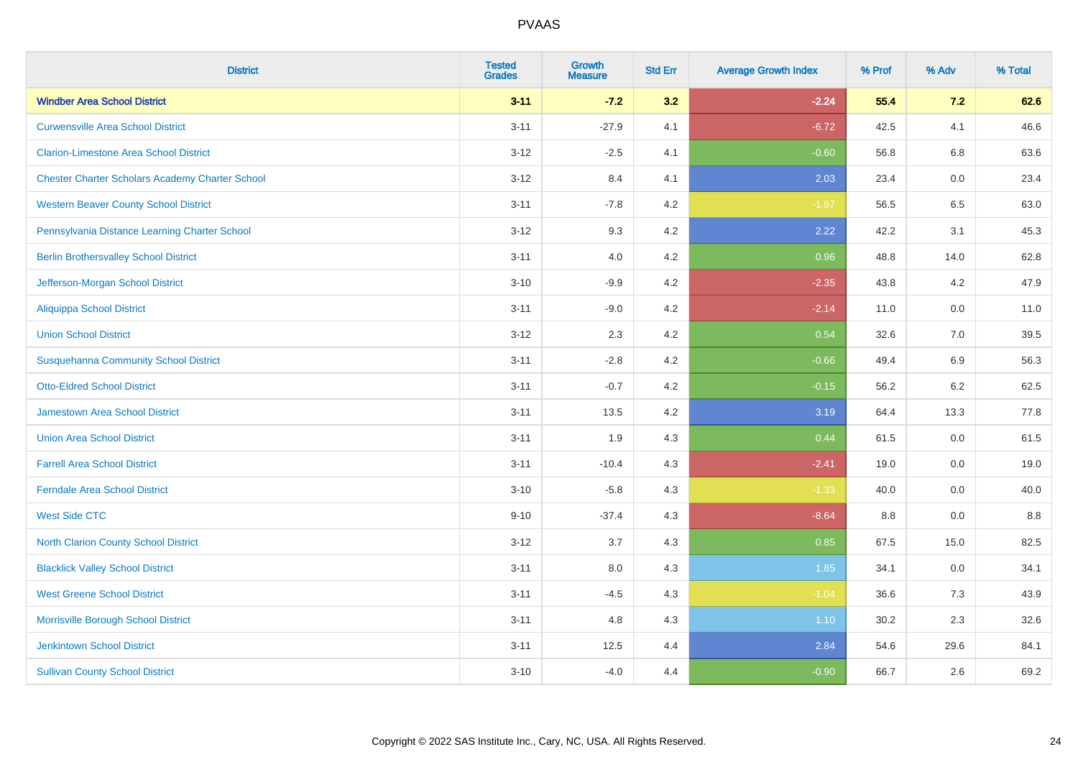| <b>District</b>                                        | <b>Tested</b><br><b>Grades</b> | <b>Growth</b><br><b>Measure</b> | <b>Std Err</b> | <b>Average Growth Index</b> | % Prof | % Adv   | % Total |
|--------------------------------------------------------|--------------------------------|---------------------------------|----------------|-----------------------------|--------|---------|---------|
| <b>Windber Area School District</b>                    | $3 - 11$                       | $-7.2$                          | 3.2            | $-2.24$                     | 55.4   | 7.2     | 62.6    |
| <b>Curwensville Area School District</b>               | $3 - 11$                       | $-27.9$                         | 4.1            | $-6.72$                     | 42.5   | 4.1     | 46.6    |
| <b>Clarion-Limestone Area School District</b>          | $3 - 12$                       | $-2.5$                          | 4.1            | $-0.60$                     | 56.8   | 6.8     | 63.6    |
| <b>Chester Charter Scholars Academy Charter School</b> | $3 - 12$                       | 8.4                             | 4.1            | 2.03                        | 23.4   | $0.0\,$ | 23.4    |
| <b>Western Beaver County School District</b>           | $3 - 11$                       | $-7.8$                          | 4.2            | $-1.87$                     | 56.5   | 6.5     | 63.0    |
| Pennsylvania Distance Learning Charter School          | $3 - 12$                       | 9.3                             | 4.2            | 2.22                        | 42.2   | 3.1     | 45.3    |
| <b>Berlin Brothersvalley School District</b>           | $3 - 11$                       | 4.0                             | 4.2            | 0.96                        | 48.8   | 14.0    | 62.8    |
| Jefferson-Morgan School District                       | $3 - 10$                       | $-9.9$                          | 4.2            | $-2.35$                     | 43.8   | 4.2     | 47.9    |
| <b>Aliquippa School District</b>                       | $3 - 11$                       | $-9.0$                          | 4.2            | $-2.14$                     | 11.0   | 0.0     | 11.0    |
| <b>Union School District</b>                           | $3 - 12$                       | 2.3                             | 4.2            | 0.54                        | 32.6   | 7.0     | 39.5    |
| <b>Susquehanna Community School District</b>           | $3 - 11$                       | $-2.8$                          | 4.2            | $-0.66$                     | 49.4   | 6.9     | 56.3    |
| <b>Otto-Eldred School District</b>                     | $3 - 11$                       | $-0.7$                          | 4.2            | $-0.15$                     | 56.2   | 6.2     | 62.5    |
| Jamestown Area School District                         | $3 - 11$                       | 13.5                            | 4.2            | 3.19                        | 64.4   | 13.3    | 77.8    |
| <b>Union Area School District</b>                      | $3 - 11$                       | 1.9                             | 4.3            | 0.44                        | 61.5   | 0.0     | 61.5    |
| <b>Farrell Area School District</b>                    | $3 - 11$                       | $-10.4$                         | 4.3            | $-2.41$                     | 19.0   | 0.0     | 19.0    |
| <b>Ferndale Area School District</b>                   | $3 - 10$                       | $-5.8$                          | 4.3            | $-1.33$                     | 40.0   | 0.0     | 40.0    |
| <b>West Side CTC</b>                                   | $9 - 10$                       | $-37.4$                         | 4.3            | $-8.64$                     | 8.8    | $0.0\,$ | 8.8     |
| <b>North Clarion County School District</b>            | $3 - 12$                       | 3.7                             | 4.3            | 0.85                        | 67.5   | 15.0    | 82.5    |
| <b>Blacklick Valley School District</b>                | $3 - 11$                       | 8.0                             | 4.3            | 1.85                        | 34.1   | 0.0     | 34.1    |
| <b>West Greene School District</b>                     | $3 - 11$                       | $-4.5$                          | 4.3            | $-1.04$                     | 36.6   | 7.3     | 43.9    |
| Morrisville Borough School District                    | $3 - 11$                       | 4.8                             | 4.3            | 1.10                        | 30.2   | 2.3     | 32.6    |
| <b>Jenkintown School District</b>                      | $3 - 11$                       | 12.5                            | 4.4            | 2.84                        | 54.6   | 29.6    | 84.1    |
| <b>Sullivan County School District</b>                 | $3 - 10$                       | $-4.0$                          | 4.4            | $-0.90$                     | 66.7   | 2.6     | 69.2    |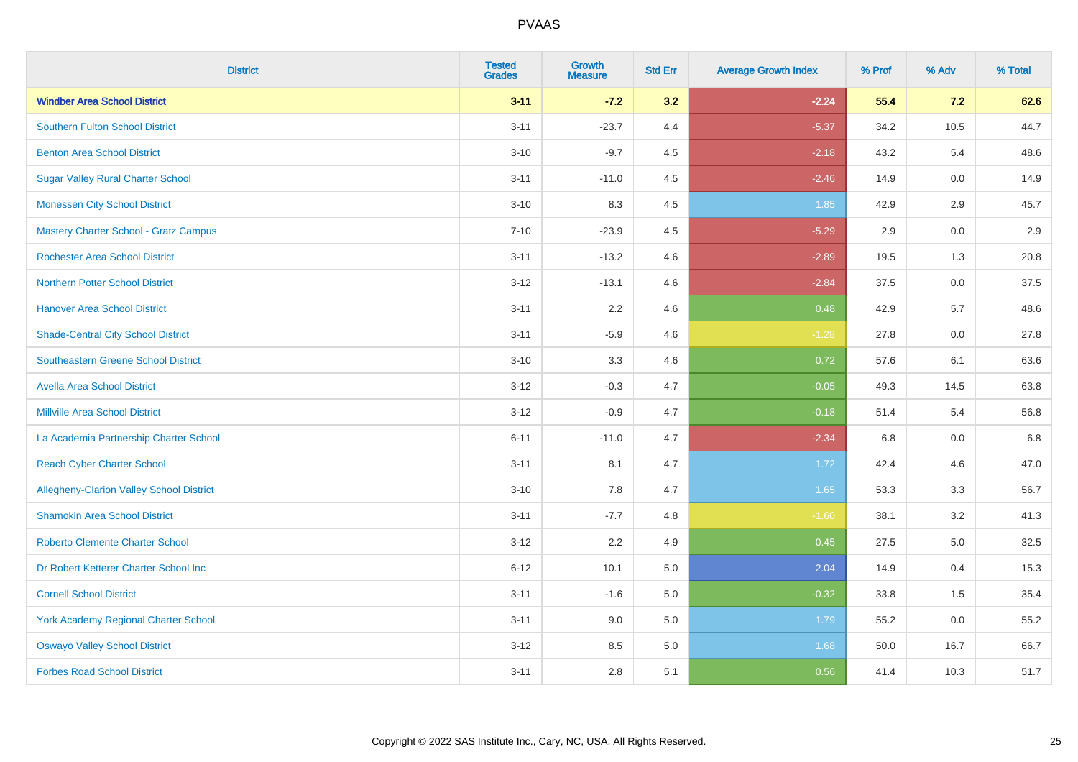| <b>District</b>                                 | <b>Tested</b><br><b>Grades</b> | <b>Growth</b><br><b>Measure</b> | <b>Std Err</b> | <b>Average Growth Index</b> | % Prof | % Adv   | % Total |
|-------------------------------------------------|--------------------------------|---------------------------------|----------------|-----------------------------|--------|---------|---------|
| <b>Windber Area School District</b>             | $3 - 11$                       | $-7.2$                          | 3.2            | $-2.24$                     | 55.4   | 7.2     | 62.6    |
| <b>Southern Fulton School District</b>          | $3 - 11$                       | $-23.7$                         | 4.4            | $-5.37$                     | 34.2   | 10.5    | 44.7    |
| <b>Benton Area School District</b>              | $3 - 10$                       | $-9.7$                          | 4.5            | $-2.18$                     | 43.2   | 5.4     | 48.6    |
| <b>Sugar Valley Rural Charter School</b>        | $3 - 11$                       | $-11.0$                         | 4.5            | $-2.46$                     | 14.9   | $0.0\,$ | 14.9    |
| <b>Monessen City School District</b>            | $3 - 10$                       | 8.3                             | 4.5            | 1.85                        | 42.9   | 2.9     | 45.7    |
| <b>Mastery Charter School - Gratz Campus</b>    | $7 - 10$                       | $-23.9$                         | 4.5            | $-5.29$                     | 2.9    | 0.0     | 2.9     |
| <b>Rochester Area School District</b>           | $3 - 11$                       | $-13.2$                         | 4.6            | $-2.89$                     | 19.5   | 1.3     | 20.8    |
| <b>Northern Potter School District</b>          | $3 - 12$                       | $-13.1$                         | 4.6            | $-2.84$                     | 37.5   | 0.0     | 37.5    |
| <b>Hanover Area School District</b>             | $3 - 11$                       | 2.2                             | 4.6            | 0.48                        | 42.9   | 5.7     | 48.6    |
| <b>Shade-Central City School District</b>       | $3 - 11$                       | $-5.9$                          | 4.6            | $-1.28$                     | 27.8   | 0.0     | 27.8    |
| <b>Southeastern Greene School District</b>      | $3 - 10$                       | 3.3                             | 4.6            | 0.72                        | 57.6   | 6.1     | 63.6    |
| <b>Avella Area School District</b>              | $3 - 12$                       | $-0.3$                          | 4.7            | $-0.05$                     | 49.3   | 14.5    | 63.8    |
| <b>Millville Area School District</b>           | $3 - 12$                       | $-0.9$                          | 4.7            | $-0.18$                     | 51.4   | 5.4     | 56.8    |
| La Academia Partnership Charter School          | $6 - 11$                       | $-11.0$                         | 4.7            | $-2.34$                     | 6.8    | 0.0     | 6.8     |
| <b>Reach Cyber Charter School</b>               | $3 - 11$                       | 8.1                             | 4.7            | 1.72                        | 42.4   | 4.6     | 47.0    |
| <b>Allegheny-Clarion Valley School District</b> | $3 - 10$                       | 7.8                             | 4.7            | 1.65                        | 53.3   | 3.3     | 56.7    |
| <b>Shamokin Area School District</b>            | $3 - 11$                       | $-7.7$                          | 4.8            | $-1.60$                     | 38.1   | 3.2     | 41.3    |
| <b>Roberto Clemente Charter School</b>          | $3 - 12$                       | 2.2                             | 4.9            | 0.45                        | 27.5   | 5.0     | 32.5    |
| Dr Robert Ketterer Charter School Inc           | $6 - 12$                       | 10.1                            | 5.0            | 2.04                        | 14.9   | 0.4     | 15.3    |
| <b>Cornell School District</b>                  | $3 - 11$                       | $-1.6$                          | 5.0            | $-0.32$                     | 33.8   | 1.5     | 35.4    |
| York Academy Regional Charter School            | $3 - 11$                       | 9.0                             | 5.0            | 1.79                        | 55.2   | 0.0     | 55.2    |
| <b>Oswayo Valley School District</b>            | $3 - 12$                       | 8.5                             | 5.0            | 1.68                        | 50.0   | 16.7    | 66.7    |
| <b>Forbes Road School District</b>              | $3 - 11$                       | 2.8                             | 5.1            | 0.56                        | 41.4   | 10.3    | 51.7    |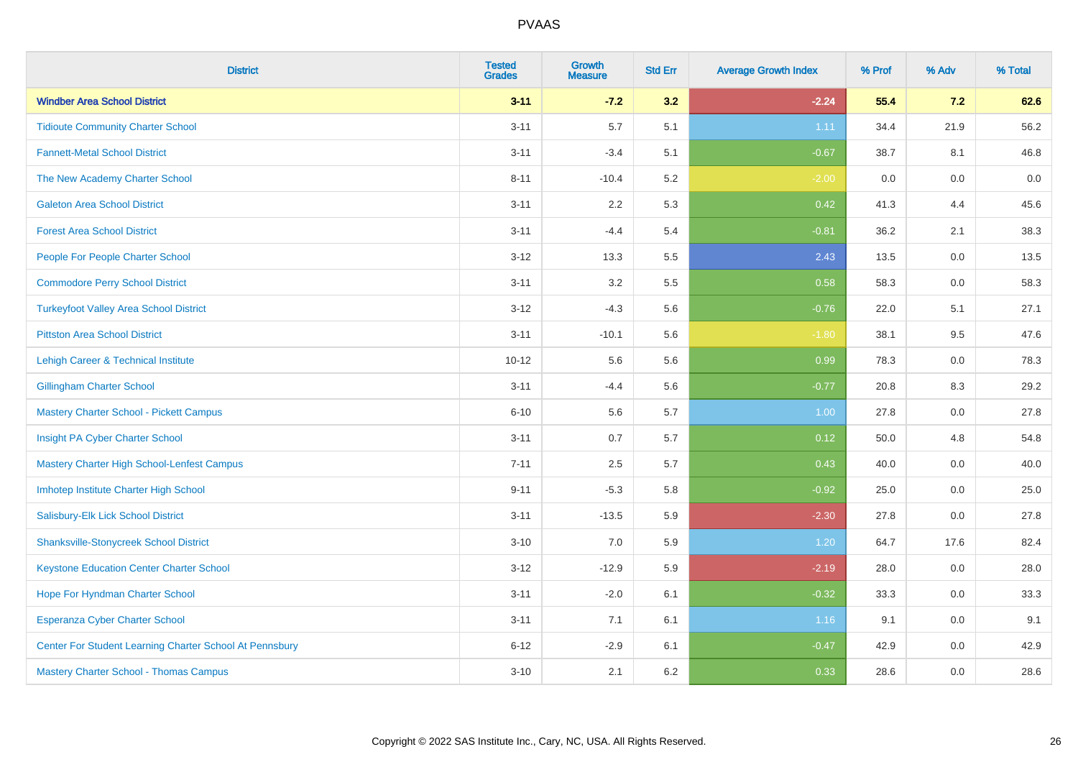| <b>District</b>                                         | <b>Tested</b><br><b>Grades</b> | <b>Growth</b><br><b>Measure</b> | <b>Std Err</b> | <b>Average Growth Index</b> | % Prof | % Adv   | % Total |
|---------------------------------------------------------|--------------------------------|---------------------------------|----------------|-----------------------------|--------|---------|---------|
| <b>Windber Area School District</b>                     | $3 - 11$                       | $-7.2$                          | 3.2            | $-2.24$                     | 55.4   | 7.2     | 62.6    |
| <b>Tidioute Community Charter School</b>                | $3 - 11$                       | 5.7                             | 5.1            | 1.11                        | 34.4   | 21.9    | 56.2    |
| <b>Fannett-Metal School District</b>                    | $3 - 11$                       | $-3.4$                          | 5.1            | $-0.67$                     | 38.7   | 8.1     | 46.8    |
| The New Academy Charter School                          | $8 - 11$                       | $-10.4$                         | 5.2            | $-2.00$                     | 0.0    | $0.0\,$ | 0.0     |
| <b>Galeton Area School District</b>                     | $3 - 11$                       | 2.2                             | 5.3            | 0.42                        | 41.3   | 4.4     | 45.6    |
| <b>Forest Area School District</b>                      | $3 - 11$                       | $-4.4$                          | 5.4            | $-0.81$                     | 36.2   | 2.1     | 38.3    |
| People For People Charter School                        | $3 - 12$                       | 13.3                            | 5.5            | 2.43                        | 13.5   | 0.0     | 13.5    |
| <b>Commodore Perry School District</b>                  | $3 - 11$                       | 3.2                             | 5.5            | 0.58                        | 58.3   | 0.0     | 58.3    |
| <b>Turkeyfoot Valley Area School District</b>           | $3-12$                         | $-4.3$                          | 5.6            | $-0.76$                     | 22.0   | 5.1     | 27.1    |
| <b>Pittston Area School District</b>                    | $3 - 11$                       | $-10.1$                         | 5.6            | $-1.80$                     | 38.1   | 9.5     | 47.6    |
| Lehigh Career & Technical Institute                     | $10 - 12$                      | 5.6                             | 5.6            | 0.99                        | 78.3   | 0.0     | 78.3    |
| <b>Gillingham Charter School</b>                        | $3 - 11$                       | $-4.4$                          | 5.6            | $-0.77$                     | 20.8   | 8.3     | 29.2    |
| Mastery Charter School - Pickett Campus                 | $6 - 10$                       | 5.6                             | 5.7            | 1.00                        | 27.8   | 0.0     | 27.8    |
| Insight PA Cyber Charter School                         | $3 - 11$                       | 0.7                             | 5.7            | 0.12                        | 50.0   | 4.8     | 54.8    |
| Mastery Charter High School-Lenfest Campus              | $7 - 11$                       | 2.5                             | 5.7            | 0.43                        | 40.0   | $0.0\,$ | 40.0    |
| Imhotep Institute Charter High School                   | $9 - 11$                       | $-5.3$                          | 5.8            | $-0.92$                     | 25.0   | $0.0\,$ | 25.0    |
| Salisbury-Elk Lick School District                      | $3 - 11$                       | $-13.5$                         | 5.9            | $-2.30$                     | 27.8   | 0.0     | 27.8    |
| <b>Shanksville-Stonycreek School District</b>           | $3 - 10$                       | 7.0                             | 5.9            | 1.20                        | 64.7   | 17.6    | 82.4    |
| <b>Keystone Education Center Charter School</b>         | $3-12$                         | $-12.9$                         | 5.9            | $-2.19$                     | 28.0   | 0.0     | 28.0    |
| Hope For Hyndman Charter School                         | $3 - 11$                       | $-2.0$                          | 6.1            | $-0.32$                     | 33.3   | 0.0     | 33.3    |
| <b>Esperanza Cyber Charter School</b>                   | $3 - 11$                       | 7.1                             | 6.1            | 1.16                        | 9.1    | 0.0     | 9.1     |
| Center For Student Learning Charter School At Pennsbury | $6 - 12$                       | $-2.9$                          | 6.1            | $-0.47$                     | 42.9   | 0.0     | 42.9    |
| Mastery Charter School - Thomas Campus                  | $3 - 10$                       | 2.1                             | 6.2            | 0.33                        | 28.6   | 0.0     | 28.6    |